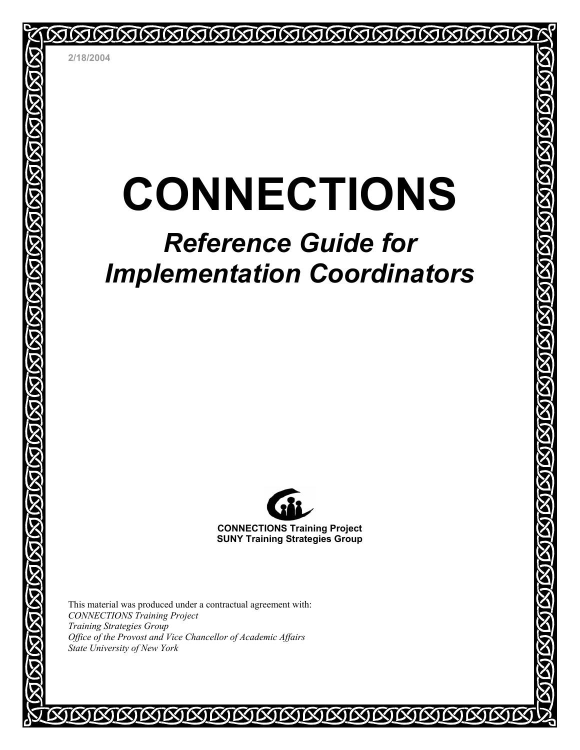# **CONNECTIONS**

<u>MMMMMMMMMMMM</u>

# *Reference Guide for Implementation Coordinators*



**CONNECTIONS Training Project SUNY Training Strategies Group** 

*MKIMMMM* 

This material was produced under a contractual agreement with: *CONNECTIONS Training Project Training Strategies Group Office of the Provost and Vice Chancellor of Academic Affairs State University of New York* 

**EXIEXIEXIEXI**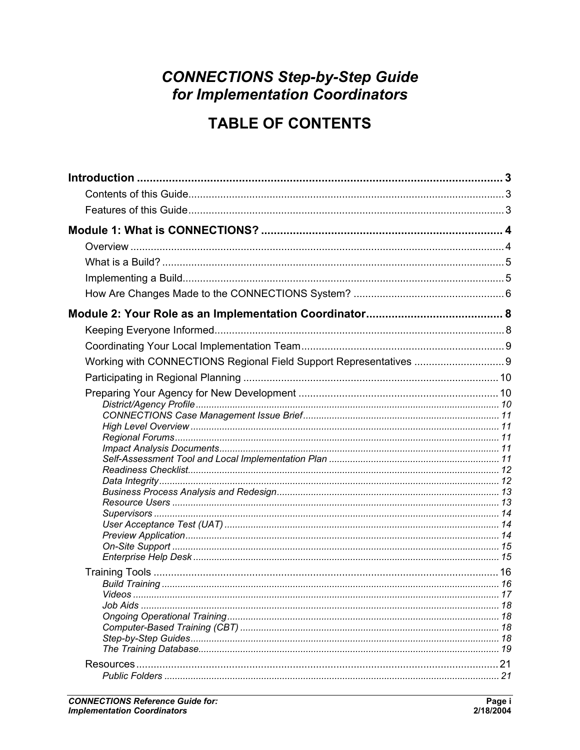# **CONNECTIONS Step-by-Step Guide** for Implementation Coordinators

# **TABLE OF CONTENTS**

| Working with CONNECTIONS Regional Field Support Representatives 9 |  |
|-------------------------------------------------------------------|--|
|                                                                   |  |
|                                                                   |  |
|                                                                   |  |
|                                                                   |  |
|                                                                   |  |
|                                                                   |  |
|                                                                   |  |
|                                                                   |  |
|                                                                   |  |
|                                                                   |  |
|                                                                   |  |
|                                                                   |  |
|                                                                   |  |
|                                                                   |  |
|                                                                   |  |
|                                                                   |  |
| <i>Videos</i>                                                     |  |
|                                                                   |  |
|                                                                   |  |
|                                                                   |  |
|                                                                   |  |
|                                                                   |  |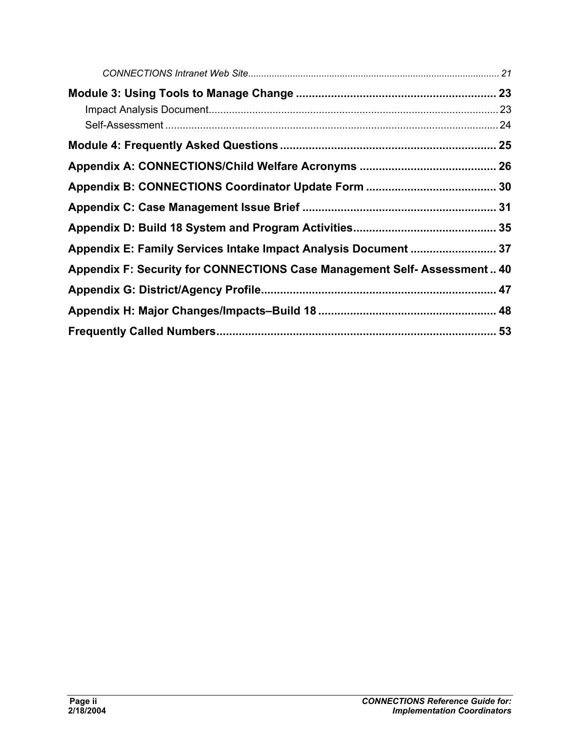| Appendix E: Family Services Intake Impact Analysis Document  37         |  |
|-------------------------------------------------------------------------|--|
| Appendix F: Security for CONNECTIONS Case Management Self-Assessment 40 |  |
|                                                                         |  |
|                                                                         |  |
|                                                                         |  |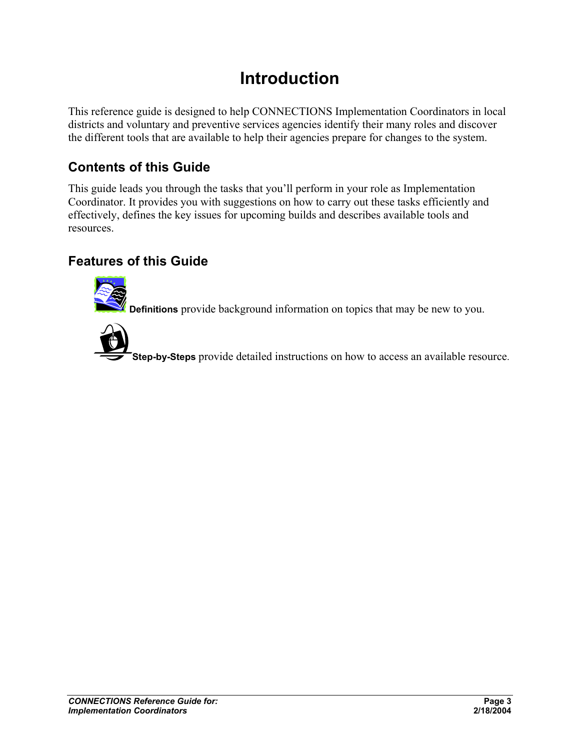# **Introduction**

This reference guide is designed to help CONNECTIONS Implementation Coordinators in local districts and voluntary and preventive services agencies identify their many roles and discover the different tools that are available to help their agencies prepare for changes to the system.

# **Contents of this Guide**

This guide leads you through the tasks that you'll perform in your role as Implementation Coordinator. It provides you with suggestions on how to carry out these tasks efficiently and effectively, defines the key issues for upcoming builds and describes available tools and resources.

## **Features of this Guide**



**Definitions** provide background information on topics that may be new to you.



**Step-by-Steps** provide detailed instructions on how to access an available resource.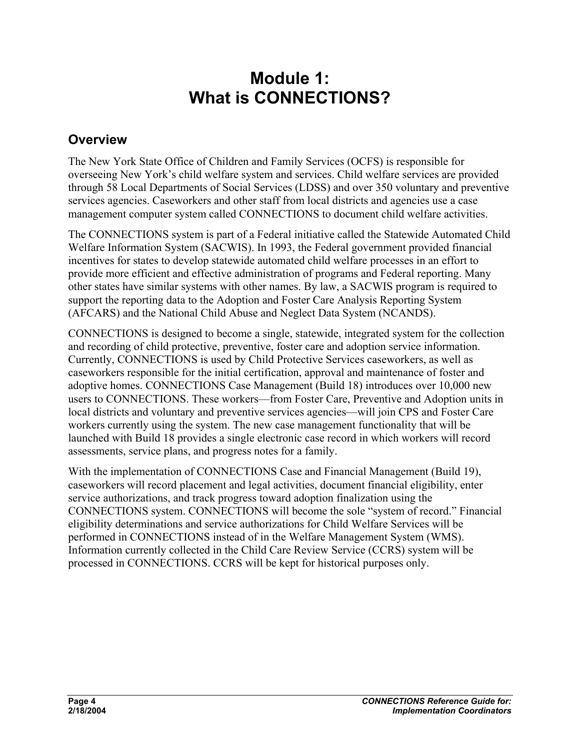# **Module 1: What is CONNECTIONS?**

## **Overview**

The New York State Office of Children and Family Services (OCFS) is responsible for overseeing New York's child welfare system and services. Child welfare services are provided through 58 Local Departments of Social Services (LDSS) and over 350 voluntary and preventive services agencies. Caseworkers and other staff from local districts and agencies use a case management computer system called CONNECTIONS to document child welfare activities.

The CONNECTIONS system is part of a Federal initiative called the Statewide Automated Child Welfare Information System (SACWIS). In 1993, the Federal government provided financial incentives for states to develop statewide automated child welfare processes in an effort to provide more efficient and effective administration of programs and Federal reporting. Many other states have similar systems with other names. By law, a SACWIS program is required to support the reporting data to the Adoption and Foster Care Analysis Reporting System (AFCARS) and the National Child Abuse and Neglect Data System (NCANDS).

CONNECTIONS is designed to become a single, statewide, integrated system for the collection and recording of child protective, preventive, foster care and adoption service information. Currently, CONNECTIONS is used by Child Protective Services caseworkers, as well as caseworkers responsible for the initial certification, approval and maintenance of foster and adoptive homes. CONNECTIONS Case Management (Build 18) introduces over 10,000 new users to CONNECTIONS. These workers—from Foster Care, Preventive and Adoption units in local districts and voluntary and preventive services agencies—will join CPS and Foster Care workers currently using the system. The new case management functionality that will be launched with Build 18 provides a single electronic case record in which workers will record assessments, service plans, and progress notes for a family.

With the implementation of CONNECTIONS Case and Financial Management (Build 19), caseworkers will record placement and legal activities, document financial eligibility, enter service authorizations, and track progress toward adoption finalization using the CONNECTIONS system. CONNECTIONS will become the sole "system of record." Financial eligibility determinations and service authorizations for Child Welfare Services will be performed in CONNECTIONS instead of in the Welfare Management System (WMS). Information currently collected in the Child Care Review Service (CCRS) system will be processed in CONNECTIONS. CCRS will be kept for historical purposes only.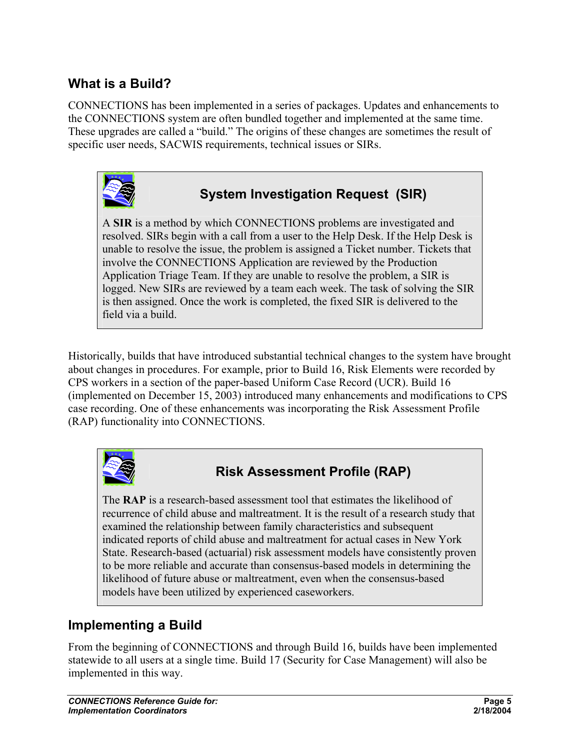## **What is a Build?**

CONNECTIONS has been implemented in a series of packages. Updates and enhancements to the CONNECTIONS system are often bundled together and implemented at the same time. These upgrades are called a "build." The origins of these changes are sometimes the result of specific user needs, SACWIS requirements, technical issues or SIRs.



# **System Investigation Request (SIR)**

A **SIR** is a method by which CONNECTIONS problems are investigated and resolved. SIRs begin with a call from a user to the Help Desk. If the Help Desk is unable to resolve the issue, the problem is assigned a Ticket number. Tickets that involve the CONNECTIONS Application are reviewed by the Production Application Triage Team. If they are unable to resolve the problem, a SIR is logged. New SIRs are reviewed by a team each week. The task of solving the SIR is then assigned. Once the work is completed, the fixed SIR is delivered to the field via a build.

Historically, builds that have introduced substantial technical changes to the system have brought about changes in procedures. For example, prior to Build 16, Risk Elements were recorded by CPS workers in a section of the paper-based Uniform Case Record (UCR). Build 16 (implemented on December 15, 2003) introduced many enhancements and modifications to CPS case recording. One of these enhancements was incorporating the Risk Assessment Profile (RAP) functionality into CONNECTIONS.



# **Risk Assessment Profile (RAP)**

The **RAP** is a research-based assessment tool that estimates the likelihood of recurrence of child abuse and maltreatment. It is the result of a research study that examined the relationship between family characteristics and subsequent indicated reports of child abuse and maltreatment for actual cases in New York State. Research-based (actuarial) risk assessment models have consistently proven to be more reliable and accurate than consensus-based models in determining the likelihood of future abuse or maltreatment, even when the consensus-based models have been utilized by experienced caseworkers.

## **Implementing a Build**

From the beginning of CONNECTIONS and through Build 16, builds have been implemented statewide to all users at a single time. Build 17 (Security for Case Management) will also be implemented in this way.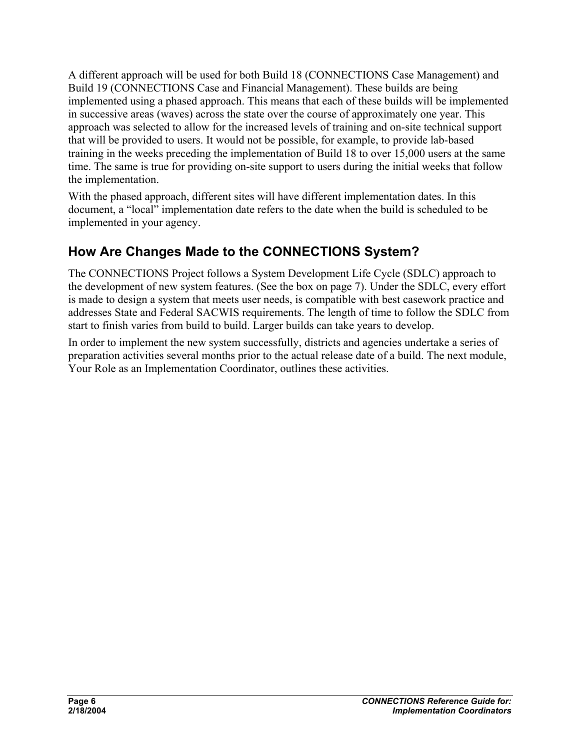A different approach will be used for both Build 18 (CONNECTIONS Case Management) and Build 19 (CONNECTIONS Case and Financial Management). These builds are being implemented using a phased approach. This means that each of these builds will be implemented in successive areas (waves) across the state over the course of approximately one year. This approach was selected to allow for the increased levels of training and on-site technical support that will be provided to users. It would not be possible, for example, to provide lab-based training in the weeks preceding the implementation of Build 18 to over 15,000 users at the same time. The same is true for providing on-site support to users during the initial weeks that follow the implementation.

With the phased approach, different sites will have different implementation dates. In this document, a "local" implementation date refers to the date when the build is scheduled to be implemented in your agency.

# **How Are Changes Made to the CONNECTIONS System?**

The CONNECTIONS Project follows a System Development Life Cycle (SDLC) approach to the development of new system features. (See the box on page 7). Under the SDLC, every effort is made to design a system that meets user needs, is compatible with best casework practice and addresses State and Federal SACWIS requirements. The length of time to follow the SDLC from start to finish varies from build to build. Larger builds can take years to develop.

In order to implement the new system successfully, districts and agencies undertake a series of preparation activities several months prior to the actual release date of a build. The next module, Your Role as an Implementation Coordinator, outlines these activities.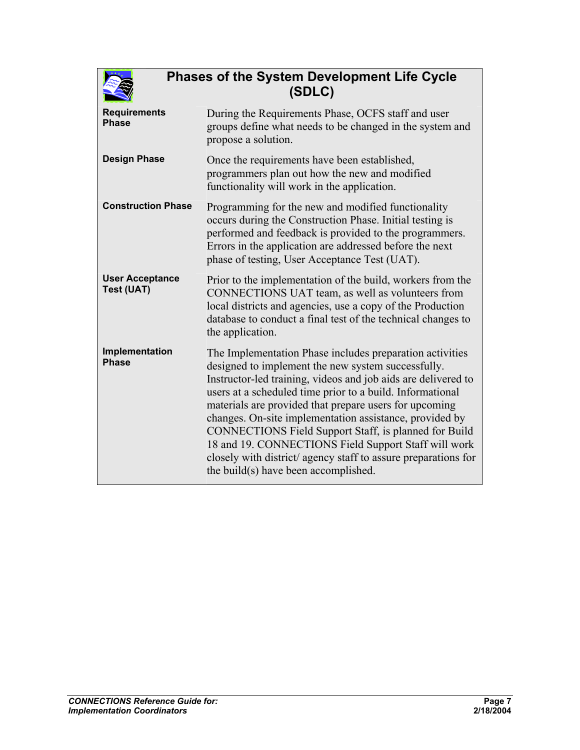

## **Phases of the System Development Life Cycle (SDLC)**

| <b>Requirements</b><br><b>Phase</b>         | During the Requirements Phase, OCFS staff and user<br>groups define what needs to be changed in the system and<br>propose a solution.                                                                                                                                                                                                                                                                                                                                                                                                                                                        |  |
|---------------------------------------------|----------------------------------------------------------------------------------------------------------------------------------------------------------------------------------------------------------------------------------------------------------------------------------------------------------------------------------------------------------------------------------------------------------------------------------------------------------------------------------------------------------------------------------------------------------------------------------------------|--|
| <b>Design Phase</b>                         | Once the requirements have been established,<br>programmers plan out how the new and modified<br>functionality will work in the application.                                                                                                                                                                                                                                                                                                                                                                                                                                                 |  |
| <b>Construction Phase</b>                   | Programming for the new and modified functionality<br>occurs during the Construction Phase. Initial testing is<br>performed and feedback is provided to the programmers.<br>Errors in the application are addressed before the next<br>phase of testing, User Acceptance Test (UAT).                                                                                                                                                                                                                                                                                                         |  |
| <b>User Acceptance</b><br><b>Test (UAT)</b> | Prior to the implementation of the build, workers from the<br>CONNECTIONS UAT team, as well as volunteers from<br>local districts and agencies, use a copy of the Production<br>database to conduct a final test of the technical changes to<br>the application.                                                                                                                                                                                                                                                                                                                             |  |
| Implementation<br><b>Phase</b>              | The Implementation Phase includes preparation activities<br>designed to implement the new system successfully.<br>Instructor-led training, videos and job aids are delivered to<br>users at a scheduled time prior to a build. Informational<br>materials are provided that prepare users for upcoming<br>changes. On-site implementation assistance, provided by<br>CONNECTIONS Field Support Staff, is planned for Build<br>18 and 19. CONNECTIONS Field Support Staff will work<br>closely with district/ agency staff to assure preparations for<br>the build(s) have been accomplished. |  |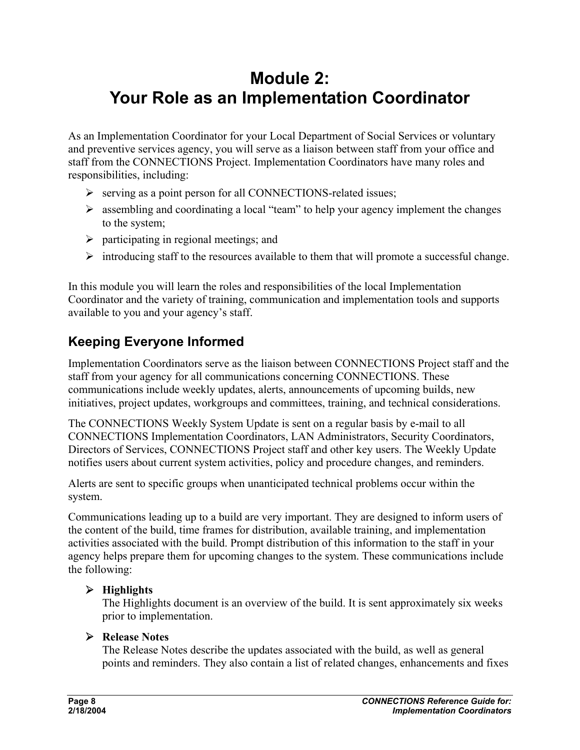# **Module 2: Your Role as an Implementation Coordinator**

As an Implementation Coordinator for your Local Department of Social Services or voluntary and preventive services agency, you will serve as a liaison between staff from your office and staff from the CONNECTIONS Project. Implementation Coordinators have many roles and responsibilities, including:

- ¾ serving as a point person for all CONNECTIONS-related issues;
- $\triangleright$  assembling and coordinating a local "team" to help your agency implement the changes to the system;
- $\triangleright$  participating in regional meetings; and
- $\triangleright$  introducing staff to the resources available to them that will promote a successful change.

In this module you will learn the roles and responsibilities of the local Implementation Coordinator and the variety of training, communication and implementation tools and supports available to you and your agency's staff.

# **Keeping Everyone Informed**

Implementation Coordinators serve as the liaison between CONNECTIONS Project staff and the staff from your agency for all communications concerning CONNECTIONS. These communications include weekly updates, alerts, announcements of upcoming builds, new initiatives, project updates, workgroups and committees, training, and technical considerations.

The CONNECTIONS Weekly System Update is sent on a regular basis by e-mail to all CONNECTIONS Implementation Coordinators, LAN Administrators, Security Coordinators, Directors of Services, CONNECTIONS Project staff and other key users. The Weekly Update notifies users about current system activities, policy and procedure changes, and reminders.

Alerts are sent to specific groups when unanticipated technical problems occur within the system.

Communications leading up to a build are very important. They are designed to inform users of the content of the build, time frames for distribution, available training, and implementation activities associated with the build. Prompt distribution of this information to the staff in your agency helps prepare them for upcoming changes to the system. These communications include the following:

#### ¾ **Highlights**

The Highlights document is an overview of the build. It is sent approximately six weeks prior to implementation.

#### ¾ **Release Notes**

The Release Notes describe the updates associated with the build, as well as general points and reminders. They also contain a list of related changes, enhancements and fixes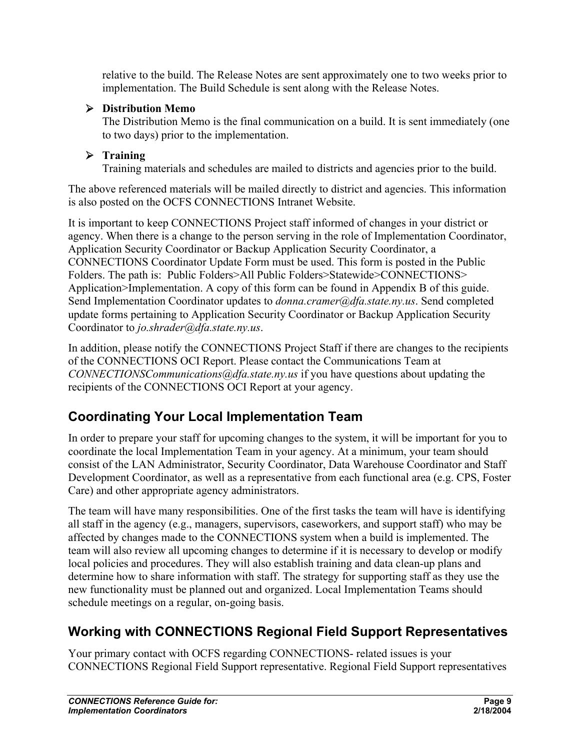relative to the build. The Release Notes are sent approximately one to two weeks prior to implementation. The Build Schedule is sent along with the Release Notes.

#### ¾ **Distribution Memo**

The Distribution Memo is the final communication on a build. It is sent immediately (one to two days) prior to the implementation.

#### ¾ **Training**

Training materials and schedules are mailed to districts and agencies prior to the build.

The above referenced materials will be mailed directly to district and agencies. This information is also posted on the OCFS CONNECTIONS Intranet Website.

It is important to keep CONNECTIONS Project staff informed of changes in your district or agency. When there is a change to the person serving in the role of Implementation Coordinator, Application Security Coordinator or Backup Application Security Coordinator, a CONNECTIONS Coordinator Update Form must be used. This form is posted in the Public Folders. The path is: Public Folders>All Public Folders>Statewide>CONNECTIONS> Application>Implementation. A copy of this form can be found in Appendix B of this guide. Send Implementation Coordinator updates to *donna.cramer@dfa.state.ny.us*. Send completed update forms pertaining to Application Security Coordinator or Backup Application Security Coordinator to *jo.shrader@dfa.state.ny.us*.

In addition, please notify the CONNECTIONS Project Staff if there are changes to the recipients of the CONNECTIONS OCI Report. Please contact the Communications Team at *CONNECTIONSCommunications@dfa.state.ny.us* if you have questions about updating the recipients of the CONNECTIONS OCI Report at your agency.

# **Coordinating Your Local Implementation Team**

In order to prepare your staff for upcoming changes to the system, it will be important for you to coordinate the local Implementation Team in your agency. At a minimum, your team should consist of the LAN Administrator, Security Coordinator, Data Warehouse Coordinator and Staff Development Coordinator, as well as a representative from each functional area (e.g. CPS, Foster Care) and other appropriate agency administrators.

The team will have many responsibilities. One of the first tasks the team will have is identifying all staff in the agency (e.g., managers, supervisors, caseworkers, and support staff) who may be affected by changes made to the CONNECTIONS system when a build is implemented. The team will also review all upcoming changes to determine if it is necessary to develop or modify local policies and procedures. They will also establish training and data clean-up plans and determine how to share information with staff. The strategy for supporting staff as they use the new functionality must be planned out and organized. Local Implementation Teams should schedule meetings on a regular, on-going basis.

# **Working with CONNECTIONS Regional Field Support Representatives**

Your primary contact with OCFS regarding CONNECTIONS- related issues is your CONNECTIONS Regional Field Support representative. Regional Field Support representatives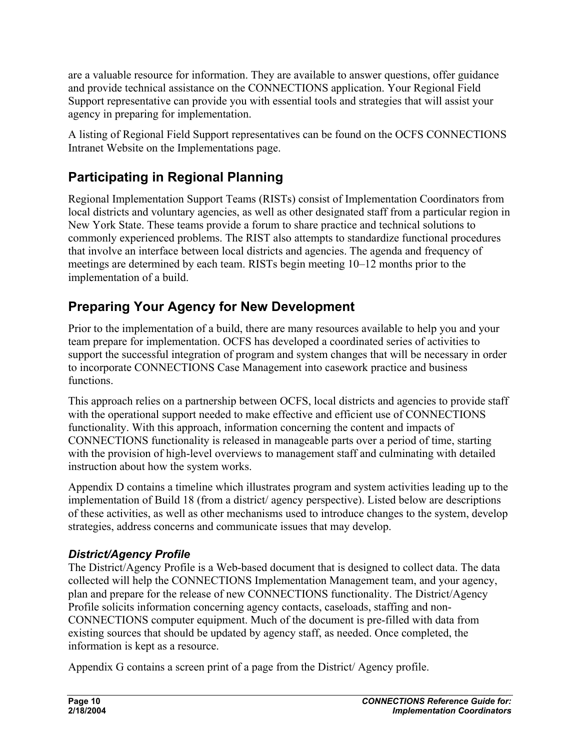are a valuable resource for information. They are available to answer questions, offer guidance and provide technical assistance on the CONNECTIONS application. Your Regional Field Support representative can provide you with essential tools and strategies that will assist your agency in preparing for implementation.

A listing of Regional Field Support representatives can be found on the OCFS CONNECTIONS Intranet Website on the Implementations page.

# **Participating in Regional Planning**

Regional Implementation Support Teams (RISTs) consist of Implementation Coordinators from local districts and voluntary agencies, as well as other designated staff from a particular region in New York State. These teams provide a forum to share practice and technical solutions to commonly experienced problems. The RIST also attempts to standardize functional procedures that involve an interface between local districts and agencies. The agenda and frequency of meetings are determined by each team. RISTs begin meeting 10–12 months prior to the implementation of a build.

# **Preparing Your Agency for New Development**

Prior to the implementation of a build, there are many resources available to help you and your team prepare for implementation. OCFS has developed a coordinated series of activities to support the successful integration of program and system changes that will be necessary in order to incorporate CONNECTIONS Case Management into casework practice and business functions.

This approach relies on a partnership between OCFS, local districts and agencies to provide staff with the operational support needed to make effective and efficient use of CONNECTIONS functionality. With this approach, information concerning the content and impacts of CONNECTIONS functionality is released in manageable parts over a period of time, starting with the provision of high-level overviews to management staff and culminating with detailed instruction about how the system works.

Appendix D contains a timeline which illustrates program and system activities leading up to the implementation of Build 18 (from a district/ agency perspective). Listed below are descriptions of these activities, as well as other mechanisms used to introduce changes to the system, develop strategies, address concerns and communicate issues that may develop.

## *District/Agency Profile*

The District/Agency Profile is a Web-based document that is designed to collect data. The data collected will help the CONNECTIONS Implementation Management team, and your agency, plan and prepare for the release of new CONNECTIONS functionality. The District/Agency Profile solicits information concerning agency contacts, caseloads, staffing and non-CONNECTIONS computer equipment. Much of the document is pre-filled with data from existing sources that should be updated by agency staff, as needed. Once completed, the information is kept as a resource.

Appendix G contains a screen print of a page from the District/ Agency profile.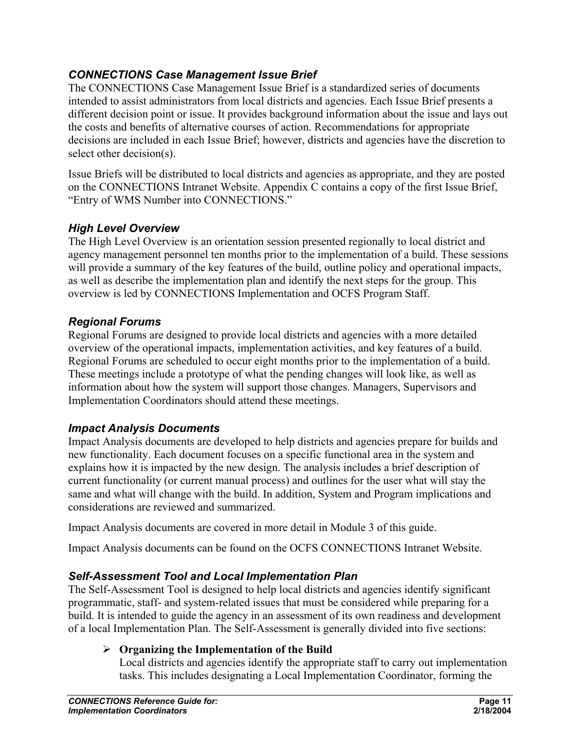#### *CONNECTIONS Case Management Issue Brief*

The CONNECTIONS Case Management Issue Brief is a standardized series of documents intended to assist administrators from local districts and agencies. Each Issue Brief presents a different decision point or issue. It provides background information about the issue and lays out the costs and benefits of alternative courses of action. Recommendations for appropriate decisions are included in each Issue Brief; however, districts and agencies have the discretion to select other decision(s).

Issue Briefs will be distributed to local districts and agencies as appropriate, and they are posted on the CONNECTIONS Intranet Website. Appendix C contains a copy of the first Issue Brief, "Entry of WMS Number into CONNECTIONS."

#### *High Level Overview*

The High Level Overview is an orientation session presented regionally to local district and agency management personnel ten months prior to the implementation of a build. These sessions will provide a summary of the key features of the build, outline policy and operational impacts, as well as describe the implementation plan and identify the next steps for the group. This overview is led by CONNECTIONS Implementation and OCFS Program Staff.

#### *Regional Forums*

Regional Forums are designed to provide local districts and agencies with a more detailed overview of the operational impacts, implementation activities, and key features of a build. Regional Forums are scheduled to occur eight months prior to the implementation of a build. These meetings include a prototype of what the pending changes will look like, as well as information about how the system will support those changes. Managers, Supervisors and Implementation Coordinators should attend these meetings.

#### *Impact Analysis Documents*

Impact Analysis documents are developed to help districts and agencies prepare for builds and new functionality. Each document focuses on a specific functional area in the system and explains how it is impacted by the new design. The analysis includes a brief description of current functionality (or current manual process) and outlines for the user what will stay the same and what will change with the build. In addition, System and Program implications and considerations are reviewed and summarized.

Impact Analysis documents are covered in more detail in Module 3 of this guide.

Impact Analysis documents can be found on the OCFS CONNECTIONS Intranet Website.

#### *Self-Assessment Tool and Local Implementation Plan*

The Self-Assessment Tool is designed to help local districts and agencies identify significant programmatic, staff- and system-related issues that must be considered while preparing for a build. It is intended to guide the agency in an assessment of its own readiness and development of a local Implementation Plan. The Self-Assessment is generally divided into five sections:

#### ¾ **Organizing the Implementation of the Build**

Local districts and agencies identify the appropriate staff to carry out implementation tasks. This includes designating a Local Implementation Coordinator, forming the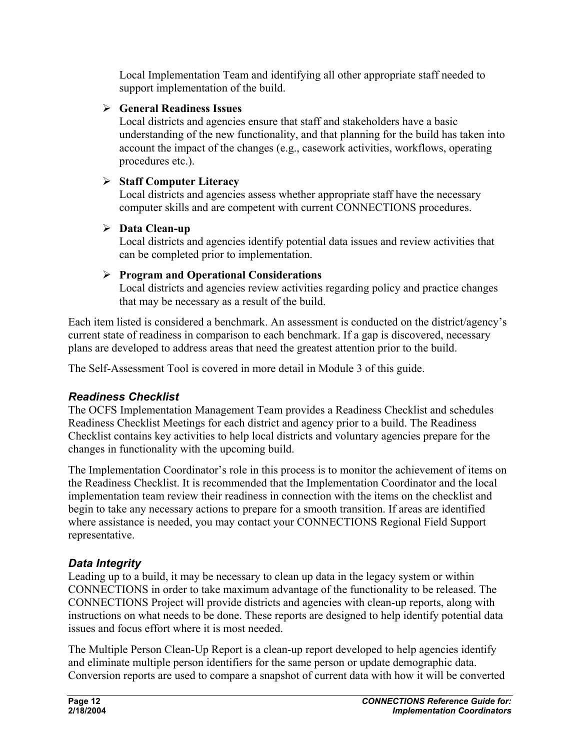Local Implementation Team and identifying all other appropriate staff needed to support implementation of the build.

#### ¾ **General Readiness Issues**

Local districts and agencies ensure that staff and stakeholders have a basic understanding of the new functionality, and that planning for the build has taken into account the impact of the changes (e.g., casework activities, workflows, operating procedures etc.).

#### ¾ **Staff Computer Literacy**

Local districts and agencies assess whether appropriate staff have the necessary computer skills and are competent with current CONNECTIONS procedures.

#### ¾ **Data Clean-up**

Local districts and agencies identify potential data issues and review activities that can be completed prior to implementation.

## ¾ **Program and Operational Considerations**

Local districts and agencies review activities regarding policy and practice changes that may be necessary as a result of the build.

Each item listed is considered a benchmark. An assessment is conducted on the district/agency's current state of readiness in comparison to each benchmark. If a gap is discovered, necessary plans are developed to address areas that need the greatest attention prior to the build.

The Self-Assessment Tool is covered in more detail in Module 3 of this guide.

## *Readiness Checklist*

The OCFS Implementation Management Team provides a Readiness Checklist and schedules Readiness Checklist Meetings for each district and agency prior to a build. The Readiness Checklist contains key activities to help local districts and voluntary agencies prepare for the changes in functionality with the upcoming build.

The Implementation Coordinator's role in this process is to monitor the achievement of items on the Readiness Checklist. It is recommended that the Implementation Coordinator and the local implementation team review their readiness in connection with the items on the checklist and begin to take any necessary actions to prepare for a smooth transition. If areas are identified where assistance is needed, you may contact your CONNECTIONS Regional Field Support representative.

## *Data Integrity*

Leading up to a build, it may be necessary to clean up data in the legacy system or within CONNECTIONS in order to take maximum advantage of the functionality to be released. The CONNECTIONS Project will provide districts and agencies with clean-up reports, along with instructions on what needs to be done. These reports are designed to help identify potential data issues and focus effort where it is most needed.

The Multiple Person Clean-Up Report is a clean-up report developed to help agencies identify and eliminate multiple person identifiers for the same person or update demographic data. Conversion reports are used to compare a snapshot of current data with how it will be converted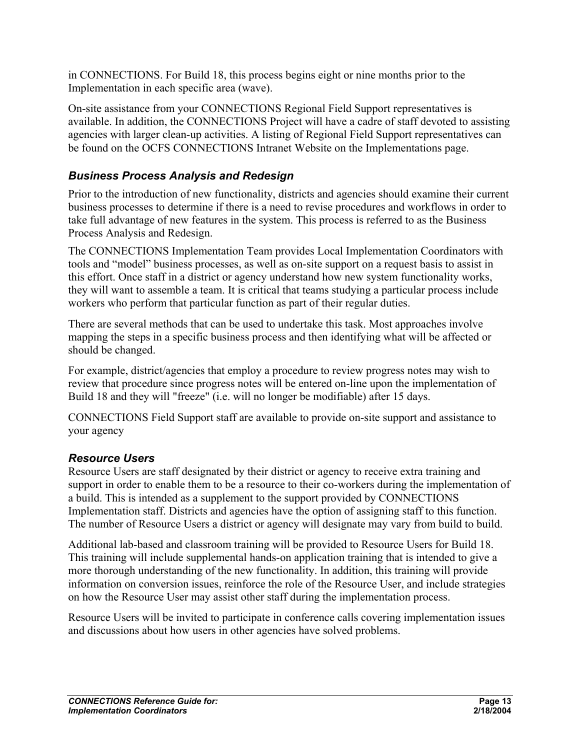in CONNECTIONS. For Build 18, this process begins eight or nine months prior to the Implementation in each specific area (wave).

On-site assistance from your CONNECTIONS Regional Field Support representatives is available. In addition, the CONNECTIONS Project will have a cadre of staff devoted to assisting agencies with larger clean-up activities. A listing of Regional Field Support representatives can be found on the OCFS CONNECTIONS Intranet Website on the Implementations page.

#### *Business Process Analysis and Redesign*

Prior to the introduction of new functionality, districts and agencies should examine their current business processes to determine if there is a need to revise procedures and workflows in order to take full advantage of new features in the system. This process is referred to as the Business Process Analysis and Redesign.

The CONNECTIONS Implementation Team provides Local Implementation Coordinators with tools and "model" business processes, as well as on-site support on a request basis to assist in this effort. Once staff in a district or agency understand how new system functionality works, they will want to assemble a team. It is critical that teams studying a particular process include workers who perform that particular function as part of their regular duties.

There are several methods that can be used to undertake this task. Most approaches involve mapping the steps in a specific business process and then identifying what will be affected or should be changed.

For example, district/agencies that employ a procedure to review progress notes may wish to review that procedure since progress notes will be entered on-line upon the implementation of Build 18 and they will "freeze" (i.e. will no longer be modifiable) after 15 days.

CONNECTIONS Field Support staff are available to provide on-site support and assistance to your agency

#### *Resource Users*

Resource Users are staff designated by their district or agency to receive extra training and support in order to enable them to be a resource to their co-workers during the implementation of a build. This is intended as a supplement to the support provided by CONNECTIONS Implementation staff. Districts and agencies have the option of assigning staff to this function. The number of Resource Users a district or agency will designate may vary from build to build.

Additional lab-based and classroom training will be provided to Resource Users for Build 18. This training will include supplemental hands-on application training that is intended to give a more thorough understanding of the new functionality. In addition, this training will provide information on conversion issues, reinforce the role of the Resource User, and include strategies on how the Resource User may assist other staff during the implementation process.

Resource Users will be invited to participate in conference calls covering implementation issues and discussions about how users in other agencies have solved problems.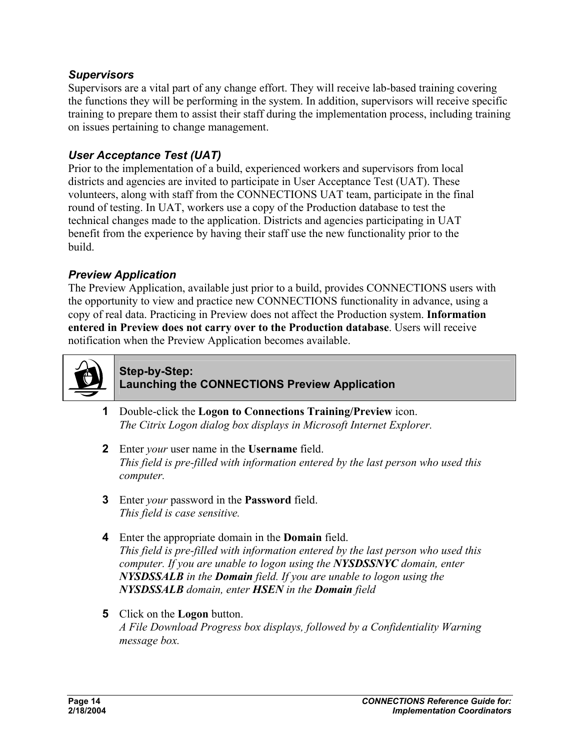#### *Supervisors*

Supervisors are a vital part of any change effort. They will receive lab-based training covering the functions they will be performing in the system. In addition, supervisors will receive specific training to prepare them to assist their staff during the implementation process, including training on issues pertaining to change management.

#### *User Acceptance Test (UAT)*

Prior to the implementation of a build, experienced workers and supervisors from local districts and agencies are invited to participate in User Acceptance Test (UAT). These volunteers, along with staff from the CONNECTIONS UAT team, participate in the final round of testing. In UAT, workers use a copy of the Production database to test the technical changes made to the application. Districts and agencies participating in UAT benefit from the experience by having their staff use the new functionality prior to the build.

#### *Preview Application*

The Preview Application, available just prior to a build, provides CONNECTIONS users with the opportunity to view and practice new CONNECTIONS functionality in advance, using a copy of real data. Practicing in Preview does not affect the Production system. **Information entered in Preview does not carry over to the Production database**. Users will receive notification when the Preview Application becomes available.



#### **Step-by-Step: Launching the CONNECTIONS Preview Application**

- **1** Double-click the **Logon to Connections Training/Preview** icon. *The Citrix Logon dialog box displays in Microsoft Internet Explorer.*
- **2** Enter *your* user name in the **Username** field. *This field is pre-filled with information entered by the last person who used this computer.*
- **3** Enter *your* password in the **Password** field. *This field is case sensitive.*
- **4** Enter the appropriate domain in the **Domain** field. *This field is pre-filled with information entered by the last person who used this computer. If you are unable to logon using the NYSDSSNYC domain, enter NYSDSSALB in the Domain field. If you are unable to logon using the NYSDSSALB domain, enter HSEN in the Domain field*
- **5** Click on the **Logon** button. *A File Download Progress box displays, followed by a Confidentiality Warning message box.*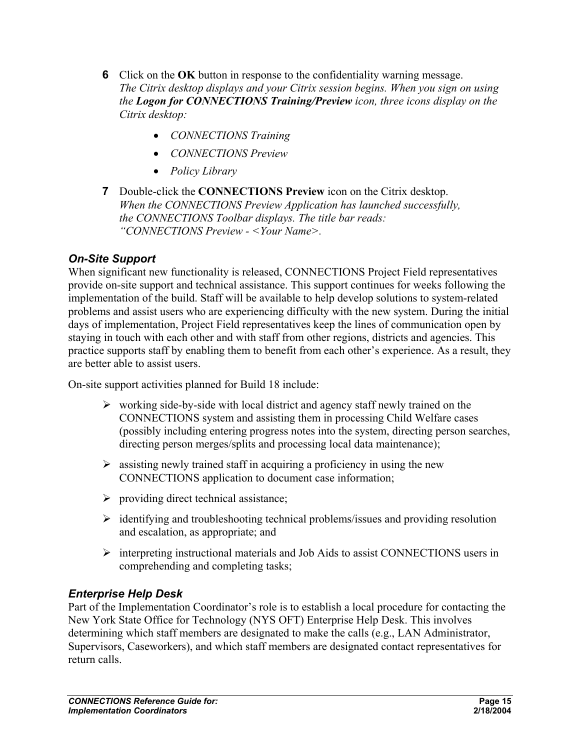- **6** Click on the **OK** button in response to the confidentiality warning message. *The Citrix desktop displays and your Citrix session begins. When you sign on using the Logon for CONNECTIONS Training/Preview icon, three icons display on the Citrix desktop:* 
	- *CONNECTIONS Training*
	- *CONNECTIONS Preview*
	- *Policy Library*
- **7** Double-click the **CONNECTIONS Preview** icon on the Citrix desktop. *When the CONNECTIONS Preview Application has launched successfully, the CONNECTIONS Toolbar displays. The title bar reads: "CONNECTIONS Preview - <Your Name>.*

#### *On-Site Support*

When significant new functionality is released, CONNECTIONS Project Field representatives provide on-site support and technical assistance. This support continues for weeks following the implementation of the build. Staff will be available to help develop solutions to system-related problems and assist users who are experiencing difficulty with the new system. During the initial days of implementation, Project Field representatives keep the lines of communication open by staying in touch with each other and with staff from other regions, districts and agencies. This practice supports staff by enabling them to benefit from each other's experience. As a result, they are better able to assist users.

On-site support activities planned for Build 18 include:

- $\triangleright$  working side-by-side with local district and agency staff newly trained on the CONNECTIONS system and assisting them in processing Child Welfare cases (possibly including entering progress notes into the system, directing person searches, directing person merges/splits and processing local data maintenance);
- $\triangleright$  assisting newly trained staff in acquiring a proficiency in using the new CONNECTIONS application to document case information;
- $\triangleright$  providing direct technical assistance;
- $\triangleright$  identifying and troubleshooting technical problems/issues and providing resolution and escalation, as appropriate; and
- ¾ interpreting instructional materials and Job Aids to assist CONNECTIONS users in comprehending and completing tasks;

#### *Enterprise Help Desk*

Part of the Implementation Coordinator's role is to establish a local procedure for contacting the New York State Office for Technology (NYS OFT) Enterprise Help Desk. This involves determining which staff members are designated to make the calls (e.g., LAN Administrator, Supervisors, Caseworkers), and which staff members are designated contact representatives for return calls.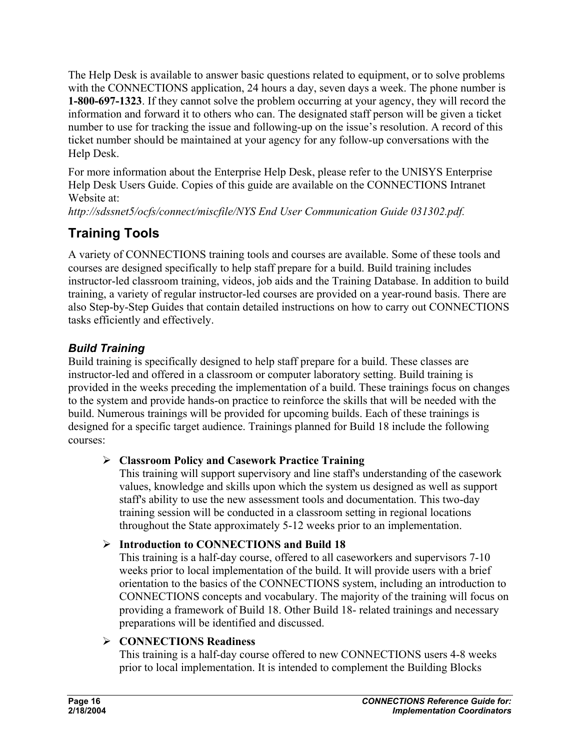The Help Desk is available to answer basic questions related to equipment, or to solve problems with the CONNECTIONS application, 24 hours a day, seven days a week. The phone number is **1-800-697-1323**. If they cannot solve the problem occurring at your agency, they will record the information and forward it to others who can. The designated staff person will be given a ticket number to use for tracking the issue and following-up on the issue's resolution. A record of this ticket number should be maintained at your agency for any follow-up conversations with the Help Desk.

For more information about the Enterprise Help Desk, please refer to the UNISYS Enterprise Help Desk Users Guide. Copies of this guide are available on the CONNECTIONS Intranet Website at:

*http://sdssnet5/ocfs/connect/miscfile/NYS End User Communication Guide 031302.pdf.*

# **Training Tools**

A variety of CONNECTIONS training tools and courses are available. Some of these tools and courses are designed specifically to help staff prepare for a build. Build training includes instructor-led classroom training, videos, job aids and the Training Database. In addition to build training, a variety of regular instructor-led courses are provided on a year-round basis. There are also Step-by-Step Guides that contain detailed instructions on how to carry out CONNECTIONS tasks efficiently and effectively.

## *Build Training*

Build training is specifically designed to help staff prepare for a build. These classes are instructor-led and offered in a classroom or computer laboratory setting. Build training is provided in the weeks preceding the implementation of a build. These trainings focus on changes to the system and provide hands-on practice to reinforce the skills that will be needed with the build. Numerous trainings will be provided for upcoming builds. Each of these trainings is designed for a specific target audience. Trainings planned for Build 18 include the following courses:

#### ¾ **Classroom Policy and Casework Practice Training**

This training will support supervisory and line staff's understanding of the casework values, knowledge and skills upon which the system us designed as well as support staff's ability to use the new assessment tools and documentation. This two-day training session will be conducted in a classroom setting in regional locations throughout the State approximately 5-12 weeks prior to an implementation.

#### ¾ **Introduction to CONNECTIONS and Build 18**

This training is a half-day course, offered to all caseworkers and supervisors 7-10 weeks prior to local implementation of the build. It will provide users with a brief orientation to the basics of the CONNECTIONS system, including an introduction to CONNECTIONS concepts and vocabulary. The majority of the training will focus on providing a framework of Build 18. Other Build 18- related trainings and necessary preparations will be identified and discussed.

#### ¾ **CONNECTIONS Readiness**

This training is a half-day course offered to new CONNECTIONS users 4-8 weeks prior to local implementation. It is intended to complement the Building Blocks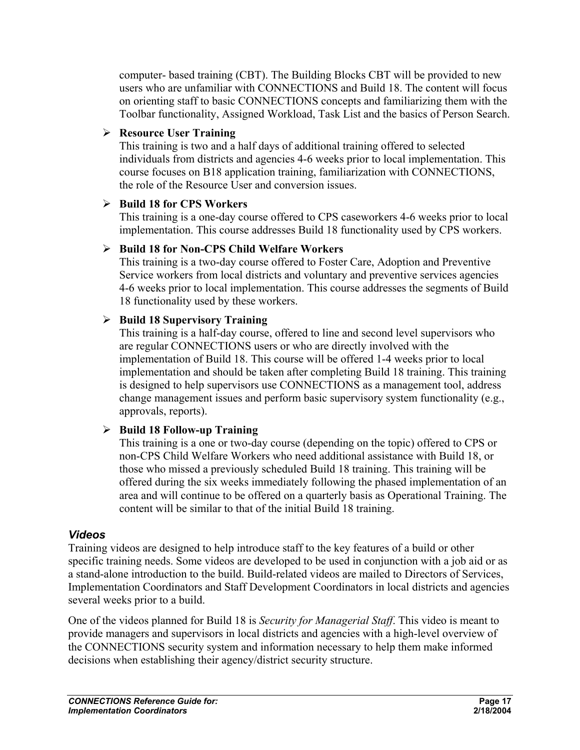computer- based training (CBT). The Building Blocks CBT will be provided to new users who are unfamiliar with CONNECTIONS and Build 18. The content will focus on orienting staff to basic CONNECTIONS concepts and familiarizing them with the Toolbar functionality, Assigned Workload, Task List and the basics of Person Search.

#### ¾ **Resource User Training**

This training is two and a half days of additional training offered to selected individuals from districts and agencies 4-6 weeks prior to local implementation. This course focuses on B18 application training, familiarization with CONNECTIONS, the role of the Resource User and conversion issues.

#### ¾ **Build 18 for CPS Workers**

This training is a one-day course offered to CPS caseworkers 4-6 weeks prior to local implementation. This course addresses Build 18 functionality used by CPS workers.

#### ¾ **Build 18 for Non-CPS Child Welfare Workers**

This training is a two-day course offered to Foster Care, Adoption and Preventive Service workers from local districts and voluntary and preventive services agencies 4-6 weeks prior to local implementation. This course addresses the segments of Build 18 functionality used by these workers.

#### ¾ **Build 18 Supervisory Training**

This training is a half-day course, offered to line and second level supervisors who are regular CONNECTIONS users or who are directly involved with the implementation of Build 18. This course will be offered 1-4 weeks prior to local implementation and should be taken after completing Build 18 training. This training is designed to help supervisors use CONNECTIONS as a management tool, address change management issues and perform basic supervisory system functionality (e.g., approvals, reports).

#### ¾ **Build 18 Follow-up Training**

This training is a one or two-day course (depending on the topic) offered to CPS or non-CPS Child Welfare Workers who need additional assistance with Build 18, or those who missed a previously scheduled Build 18 training. This training will be offered during the six weeks immediately following the phased implementation of an area and will continue to be offered on a quarterly basis as Operational Training. The content will be similar to that of the initial Build 18 training.

#### *Videos*

Training videos are designed to help introduce staff to the key features of a build or other specific training needs. Some videos are developed to be used in conjunction with a job aid or as a stand-alone introduction to the build. Build-related videos are mailed to Directors of Services, Implementation Coordinators and Staff Development Coordinators in local districts and agencies several weeks prior to a build.

One of the videos planned for Build 18 is *Security for Managerial Staff*. This video is meant to provide managers and supervisors in local districts and agencies with a high-level overview of the CONNECTIONS security system and information necessary to help them make informed decisions when establishing their agency/district security structure.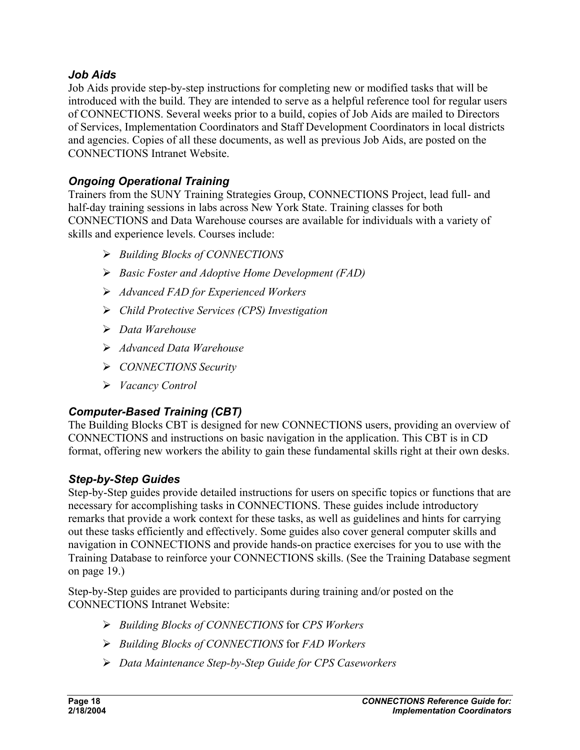#### *Job Aids*

Job Aids provide step-by-step instructions for completing new or modified tasks that will be introduced with the build. They are intended to serve as a helpful reference tool for regular users of CONNECTIONS. Several weeks prior to a build, copies of Job Aids are mailed to Directors of Services, Implementation Coordinators and Staff Development Coordinators in local districts and agencies. Copies of all these documents, as well as previous Job Aids, are posted on the CONNECTIONS Intranet Website.

## *Ongoing Operational Training*

Trainers from the SUNY Training Strategies Group, CONNECTIONS Project, lead full- and half-day training sessions in labs across New York State. Training classes for both CONNECTIONS and Data Warehouse courses are available for individuals with a variety of skills and experience levels. Courses include:

- ¾ *Building Blocks of CONNECTIONS*
- ¾ *Basic Foster and Adoptive Home Development (FAD)*
- ¾ *Advanced FAD for Experienced Workers*
- ¾ *Child Protective Services (CPS) Investigation*
- ¾ *Data Warehouse*
- ¾ *Advanced Data Warehouse*
- ¾ *CONNECTIONS Security*
- ¾ *Vacancy Control*

## *Computer-Based Training (CBT)*

The Building Blocks CBT is designed for new CONNECTIONS users, providing an overview of CONNECTIONS and instructions on basic navigation in the application. This CBT is in CD format, offering new workers the ability to gain these fundamental skills right at their own desks.

## *Step-by-Step Guides*

Step-by-Step guides provide detailed instructions for users on specific topics or functions that are necessary for accomplishing tasks in CONNECTIONS. These guides include introductory remarks that provide a work context for these tasks, as well as guidelines and hints for carrying out these tasks efficiently and effectively. Some guides also cover general computer skills and navigation in CONNECTIONS and provide hands-on practice exercises for you to use with the Training Database to reinforce your CONNECTIONS skills. (See the Training Database segment on page 19.)

Step-by-Step guides are provided to participants during training and/or posted on the CONNECTIONS Intranet Website:

- ¾ *Building Blocks of CONNECTIONS* for *CPS Workers*
- ¾ *Building Blocks of CONNECTIONS* for *FAD Workers*
- ¾ *Data Maintenance Step-by-Step Guide for CPS Caseworkers*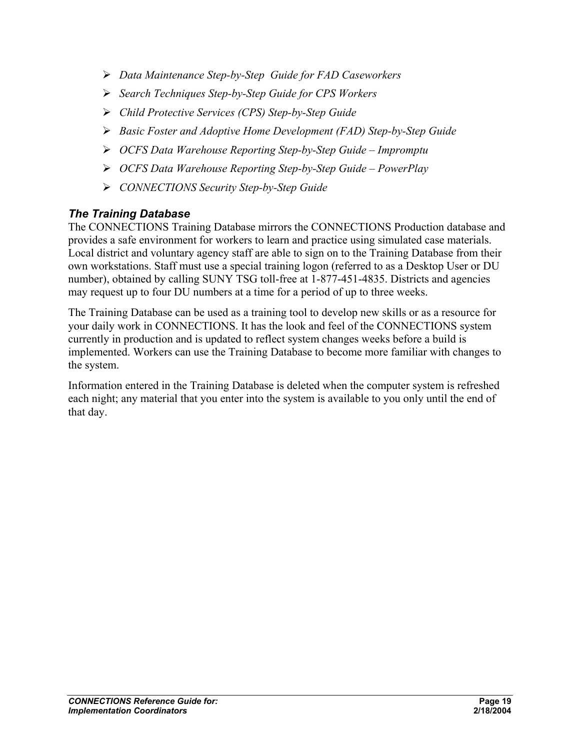- ¾ *Data Maintenance Step-by-Step Guide for FAD Caseworkers*
- ¾ *Search Techniques Step-by-Step Guide for CPS Workers*
- ¾ *Child Protective Services (CPS) Step-by-Step Guide*
- ¾ *Basic Foster and Adoptive Home Development (FAD) Step-by-Step Guide*
- ¾ *OCFS Data Warehouse Reporting Step-by-Step Guide Impromptu*
- ¾ *OCFS Data Warehouse Reporting Step-by-Step Guide PowerPlay*
- ¾ *CONNECTIONS Security Step-by-Step Guide*

#### *The Training Database*

The CONNECTIONS Training Database mirrors the CONNECTIONS Production database and provides a safe environment for workers to learn and practice using simulated case materials. Local district and voluntary agency staff are able to sign on to the Training Database from their own workstations. Staff must use a special training logon (referred to as a Desktop User or DU number), obtained by calling SUNY TSG toll-free at 1-877-451-4835. Districts and agencies may request up to four DU numbers at a time for a period of up to three weeks.

The Training Database can be used as a training tool to develop new skills or as a resource for your daily work in CONNECTIONS. It has the look and feel of the CONNECTIONS system currently in production and is updated to reflect system changes weeks before a build is implemented. Workers can use the Training Database to become more familiar with changes to the system.

Information entered in the Training Database is deleted when the computer system is refreshed each night; any material that you enter into the system is available to you only until the end of that day.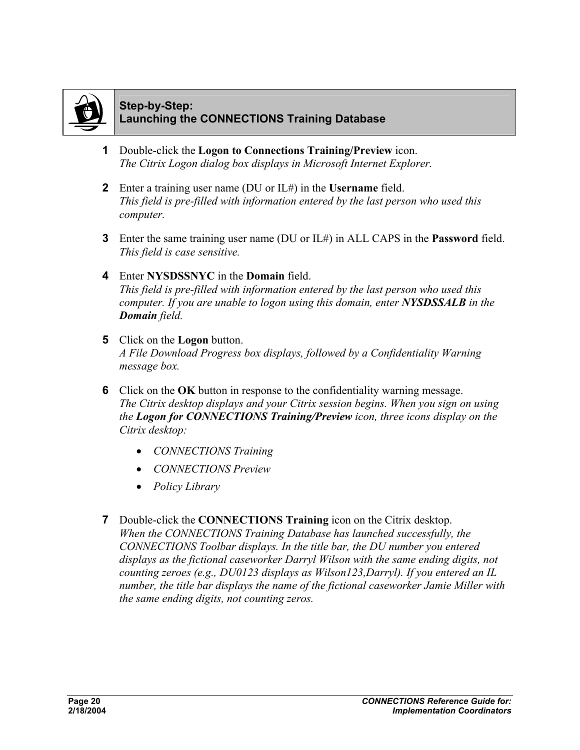

#### **Step-by-Step: Launching the CONNECTIONS Training Database**

- **1** Double-click the **Logon to Connections Training/Preview** icon. *The Citrix Logon dialog box displays in Microsoft Internet Explorer.*
- **2** Enter a training user name (DU or IL#) in the **Username** field. *This field is pre-filled with information entered by the last person who used this computer.*
- **3** Enter the same training user name (DU or IL#) in ALL CAPS in the **Password** field. *This field is case sensitive.*

#### **4** Enter **NYSDSSNYC** in the **Domain** field. *This field is pre-filled with information entered by the last person who used this computer. If you are unable to logon using this domain, enter NYSDSSALB in the Domain field.*

- **5** Click on the **Logon** button. *A File Download Progress box displays, followed by a Confidentiality Warning message box.*
- **6** Click on the **OK** button in response to the confidentiality warning message. *The Citrix desktop displays and your Citrix session begins. When you sign on using the Logon for CONNECTIONS Training/Preview icon, three icons display on the Citrix desktop:* 
	- *CONNECTIONS Training*
	- *CONNECTIONS Preview*
	- *Policy Library*
- **7** Double-click the **CONNECTIONS Training** icon on the Citrix desktop. *When the CONNECTIONS Training Database has launched successfully, the CONNECTIONS Toolbar displays. In the title bar, the DU number you entered displays as the fictional caseworker Darryl Wilson with the same ending digits, not counting zeroes (e.g., DU0123 displays as Wilson123,Darryl). If you entered an IL number, the title bar displays the name of the fictional caseworker Jamie Miller with the same ending digits, not counting zeros.*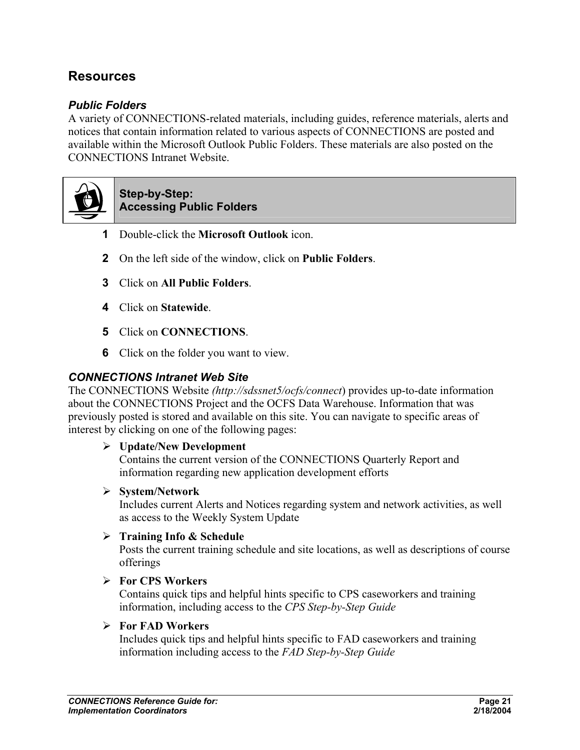## **Resources**

#### *Public Folders*

A variety of CONNECTIONS-related materials, including guides, reference materials, alerts and notices that contain information related to various aspects of CONNECTIONS are posted and available within the Microsoft Outlook Public Folders. These materials are also posted on the CONNECTIONS Intranet Website.



#### **Step-by-Step: Accessing Public Folders**

- **1** Double-click the **Microsoft Outlook** icon.
- **2** On the left side of the window, click on **Public Folders**.
- **3** Click on **All Public Folders**.
- **4** Click on **Statewide**.
- **5** Click on **CONNECTIONS**.
- **6** Click on the folder you want to view.

#### *CONNECTIONS Intranet Web Site*

The CONNECTIONS Website *(http://sdssnet5/ocfs/connect*) provides up-to-date information about the CONNECTIONS Project and the OCFS Data Warehouse. Information that was previously posted is stored and available on this site. You can navigate to specific areas of interest by clicking on one of the following pages:

#### ¾ **Update/New Development**

Contains the current version of the CONNECTIONS Quarterly Report and information regarding new application development efforts

#### ¾ **System/Network**

Includes current Alerts and Notices regarding system and network activities, as well as access to the Weekly System Update

#### ¾ **Training Info & Schedule**

Posts the current training schedule and site locations, as well as descriptions of course offerings

#### ¾ **For CPS Workers**

Contains quick tips and helpful hints specific to CPS caseworkers and training information, including access to the *CPS Step-by-Step Guide*

#### ¾ **For FAD Workers**

Includes quick tips and helpful hints specific to FAD caseworkers and training information including access to the *FAD Step-by-Step Guide*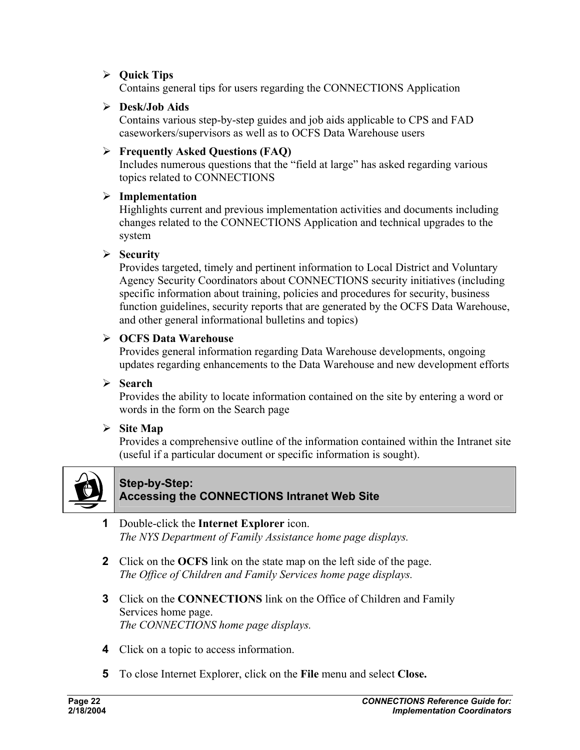#### ¾ **Quick Tips**

Contains general tips for users regarding the CONNECTIONS Application

#### ¾ **Desk/Job Aids**

Contains various step-by-step guides and job aids applicable to CPS and FAD caseworkers/supervisors as well as to OCFS Data Warehouse users

#### ¾ **Frequently Asked Questions (FAQ)**

Includes numerous questions that the "field at large" has asked regarding various topics related to CONNECTIONS

#### ¾ **Implementation**

Highlights current and previous implementation activities and documents including changes related to the CONNECTIONS Application and technical upgrades to the system

#### ¾ **Security**

Provides targeted, timely and pertinent information to Local District and Voluntary Agency Security Coordinators about CONNECTIONS security initiatives (including specific information about training, policies and procedures for security, business function guidelines, security reports that are generated by the OCFS Data Warehouse, and other general informational bulletins and topics)

#### ¾ **OCFS Data Warehouse**

Provides general information regarding Data Warehouse developments, ongoing updates regarding enhancements to the Data Warehouse and new development efforts

#### ¾ **Search**

Provides the ability to locate information contained on the site by entering a word or words in the form on the Search page

#### ¾ **Site Map**

Provides a comprehensive outline of the information contained within the Intranet site (useful if a particular document or specific information is sought).



#### **Step-by-Step: Accessing the CONNECTIONS Intranet Web Site**

- **1** Double-click the **Internet Explorer** icon. *The NYS Department of Family Assistance home page displays.*
- **2** Click on the **OCFS** link on the state map on the left side of the page. *The Office of Children and Family Services home page displays.*
- **3** Click on the **CONNECTIONS** link on the Office of Children and Family Services home page. *The CONNECTIONS home page displays.*
- **4** Click on a topic to access information.
- **5** To close Internet Explorer, click on the **File** menu and select **Close.**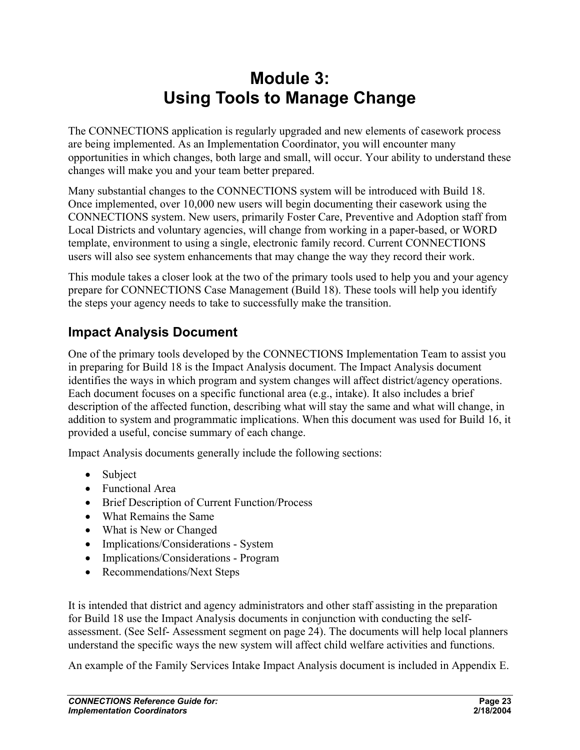# **Module 3: Using Tools to Manage Change**

The CONNECTIONS application is regularly upgraded and new elements of casework process are being implemented. As an Implementation Coordinator, you will encounter many opportunities in which changes, both large and small, will occur. Your ability to understand these changes will make you and your team better prepared.

Many substantial changes to the CONNECTIONS system will be introduced with Build 18. Once implemented, over 10,000 new users will begin documenting their casework using the CONNECTIONS system. New users, primarily Foster Care, Preventive and Adoption staff from Local Districts and voluntary agencies, will change from working in a paper-based, or WORD template, environment to using a single, electronic family record. Current CONNECTIONS users will also see system enhancements that may change the way they record their work.

This module takes a closer look at the two of the primary tools used to help you and your agency prepare for CONNECTIONS Case Management (Build 18). These tools will help you identify the steps your agency needs to take to successfully make the transition.

# **Impact Analysis Document**

One of the primary tools developed by the CONNECTIONS Implementation Team to assist you in preparing for Build 18 is the Impact Analysis document. The Impact Analysis document identifies the ways in which program and system changes will affect district/agency operations. Each document focuses on a specific functional area (e.g., intake). It also includes a brief description of the affected function, describing what will stay the same and what will change, in addition to system and programmatic implications. When this document was used for Build 16, it provided a useful, concise summary of each change.

Impact Analysis documents generally include the following sections:

- Subject
- Functional Area
- Brief Description of Current Function/Process
- What Remains the Same
- What is New or Changed
- Implications/Considerations System
- Implications/Considerations Program
- Recommendations/Next Steps

It is intended that district and agency administrators and other staff assisting in the preparation for Build 18 use the Impact Analysis documents in conjunction with conducting the selfassessment. (See Self- Assessment segment on page 24). The documents will help local planners understand the specific ways the new system will affect child welfare activities and functions.

An example of the Family Services Intake Impact Analysis document is included in Appendix E.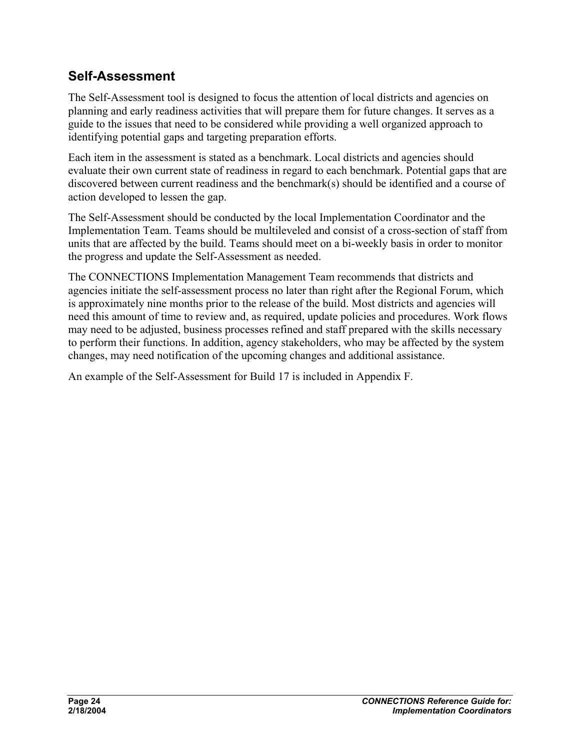## **Self-Assessment**

The Self-Assessment tool is designed to focus the attention of local districts and agencies on planning and early readiness activities that will prepare them for future changes. It serves as a guide to the issues that need to be considered while providing a well organized approach to identifying potential gaps and targeting preparation efforts.

Each item in the assessment is stated as a benchmark. Local districts and agencies should evaluate their own current state of readiness in regard to each benchmark. Potential gaps that are discovered between current readiness and the benchmark(s) should be identified and a course of action developed to lessen the gap.

The Self-Assessment should be conducted by the local Implementation Coordinator and the Implementation Team. Teams should be multileveled and consist of a cross-section of staff from units that are affected by the build. Teams should meet on a bi-weekly basis in order to monitor the progress and update the Self-Assessment as needed.

The CONNECTIONS Implementation Management Team recommends that districts and agencies initiate the self-assessment process no later than right after the Regional Forum, which is approximately nine months prior to the release of the build. Most districts and agencies will need this amount of time to review and, as required, update policies and procedures. Work flows may need to be adjusted, business processes refined and staff prepared with the skills necessary to perform their functions. In addition, agency stakeholders, who may be affected by the system changes, may need notification of the upcoming changes and additional assistance.

An example of the Self-Assessment for Build 17 is included in Appendix F.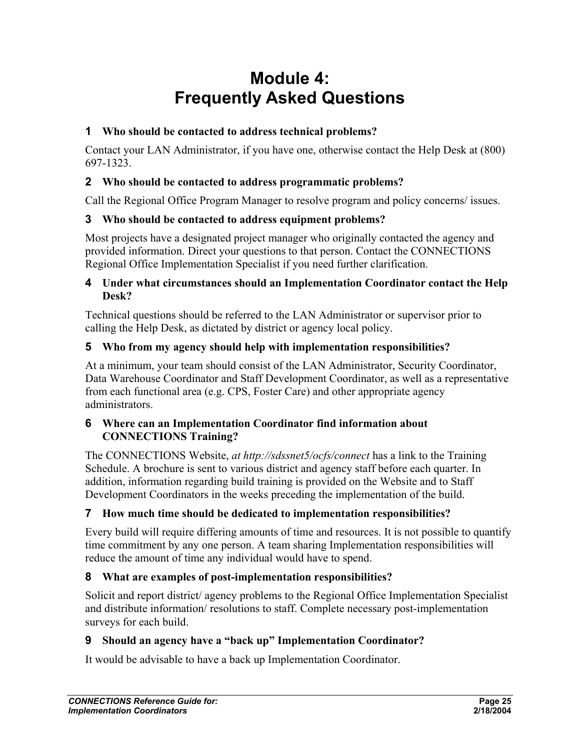# **Module 4: Frequently Asked Questions**

#### **1 Who should be contacted to address technical problems?**

Contact your LAN Administrator, if you have one, otherwise contact the Help Desk at (800) 697-1323.

#### **2 Who should be contacted to address programmatic problems?**

Call the Regional Office Program Manager to resolve program and policy concerns/ issues.

#### **3 Who should be contacted to address equipment problems?**

Most projects have a designated project manager who originally contacted the agency and provided information. Direct your questions to that person. Contact the CONNECTIONS Regional Office Implementation Specialist if you need further clarification.

#### **4 Under what circumstances should an Implementation Coordinator contact the Help Desk?**

Technical questions should be referred to the LAN Administrator or supervisor prior to calling the Help Desk, as dictated by district or agency local policy.

#### **5 Who from my agency should help with implementation responsibilities?**

At a minimum, your team should consist of the LAN Administrator, Security Coordinator, Data Warehouse Coordinator and Staff Development Coordinator, as well as a representative from each functional area (e.g. CPS, Foster Care) and other appropriate agency administrators.

#### **6 Where can an Implementation Coordinator find information about CONNECTIONS Training?**

The CONNECTIONS Website, *at http://sdssnet5/ocfs/connect* has a link to the Training Schedule. A brochure is sent to various district and agency staff before each quarter. In addition, information regarding build training is provided on the Website and to Staff Development Coordinators in the weeks preceding the implementation of the build.

#### **7 How much time should be dedicated to implementation responsibilities?**

Every build will require differing amounts of time and resources. It is not possible to quantify time commitment by any one person. A team sharing Implementation responsibilities will reduce the amount of time any individual would have to spend.

#### **8 What are examples of post-implementation responsibilities?**

Solicit and report district/ agency problems to the Regional Office Implementation Specialist and distribute information/ resolutions to staff. Complete necessary post-implementation surveys for each build.

#### **9 Should an agency have a "back up" Implementation Coordinator?**

It would be advisable to have a back up Implementation Coordinator.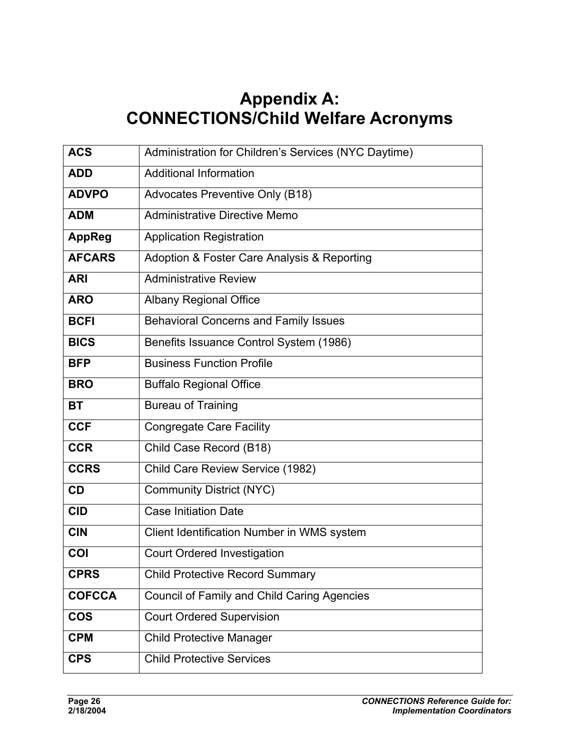# **Appendix A: CONNECTIONS/Child Welfare Acronyms**

| <b>ACS</b>    | Administration for Children's Services (NYC Daytime) |
|---------------|------------------------------------------------------|
| <b>ADD</b>    | <b>Additional Information</b>                        |
| <b>ADVPO</b>  | Advocates Preventive Only (B18)                      |
| <b>ADM</b>    | Administrative Directive Memo                        |
| <b>AppReg</b> | <b>Application Registration</b>                      |
| <b>AFCARS</b> | Adoption & Foster Care Analysis & Reporting          |
| <b>ARI</b>    | <b>Administrative Review</b>                         |
| <b>ARO</b>    | <b>Albany Regional Office</b>                        |
| <b>BCFI</b>   | <b>Behavioral Concerns and Family Issues</b>         |
| <b>BICS</b>   | Benefits Issuance Control System (1986)              |
| <b>BFP</b>    | <b>Business Function Profile</b>                     |
| <b>BRO</b>    | <b>Buffalo Regional Office</b>                       |
| <b>BT</b>     | <b>Bureau of Training</b>                            |
| <b>CCF</b>    | <b>Congregate Care Facility</b>                      |
| <b>CCR</b>    | Child Case Record (B18)                              |
| <b>CCRS</b>   | Child Care Review Service (1982)                     |
| <b>CD</b>     | <b>Community District (NYC)</b>                      |
| <b>CID</b>    | <b>Case Initiation Date</b>                          |
| <b>CIN</b>    | Client Identification Number in WMS system           |
| COI           | <b>Court Ordered Investigation</b>                   |
| <b>CPRS</b>   | <b>Child Protective Record Summary</b>               |
| <b>COFCCA</b> | <b>Council of Family and Child Caring Agencies</b>   |
| <b>COS</b>    | <b>Court Ordered Supervision</b>                     |
| <b>CPM</b>    | <b>Child Protective Manager</b>                      |
| <b>CPS</b>    | <b>Child Protective Services</b>                     |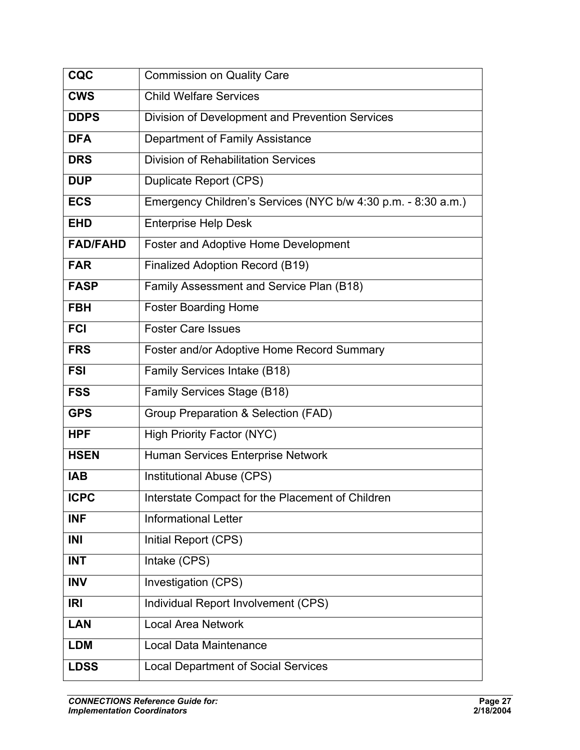| CQC             | <b>Commission on Quality Care</b>                             |
|-----------------|---------------------------------------------------------------|
| <b>CWS</b>      | <b>Child Welfare Services</b>                                 |
| <b>DDPS</b>     | Division of Development and Prevention Services               |
| <b>DFA</b>      | Department of Family Assistance                               |
| <b>DRS</b>      | <b>Division of Rehabilitation Services</b>                    |
| <b>DUP</b>      | <b>Duplicate Report (CPS)</b>                                 |
| <b>ECS</b>      | Emergency Children's Services (NYC b/w 4:30 p.m. - 8:30 a.m.) |
| <b>EHD</b>      | <b>Enterprise Help Desk</b>                                   |
| <b>FAD/FAHD</b> | Foster and Adoptive Home Development                          |
| <b>FAR</b>      | Finalized Adoption Record (B19)                               |
| <b>FASP</b>     | Family Assessment and Service Plan (B18)                      |
| <b>FBH</b>      | <b>Foster Boarding Home</b>                                   |
| <b>FCI</b>      | <b>Foster Care Issues</b>                                     |
| <b>FRS</b>      | Foster and/or Adoptive Home Record Summary                    |
| <b>FSI</b>      | Family Services Intake (B18)                                  |
| <b>FSS</b>      | Family Services Stage (B18)                                   |
| <b>GPS</b>      | Group Preparation & Selection (FAD)                           |
| <b>HPF</b>      | <b>High Priority Factor (NYC)</b>                             |
| <b>HSEN</b>     | Human Services Enterprise Network                             |
| <b>IAB</b>      | Institutional Abuse (CPS)                                     |
| <b>ICPC</b>     | Interstate Compact for the Placement of Children              |
| <b>INF</b>      | <b>Informational Letter</b>                                   |
| INI             | Initial Report (CPS)                                          |
| <b>INT</b>      | Intake (CPS)                                                  |
| <b>INV</b>      | Investigation (CPS)                                           |
| <b>IRI</b>      | Individual Report Involvement (CPS)                           |
| <b>LAN</b>      | <b>Local Area Network</b>                                     |
| <b>LDM</b>      | Local Data Maintenance                                        |
| <b>LDSS</b>     | <b>Local Department of Social Services</b>                    |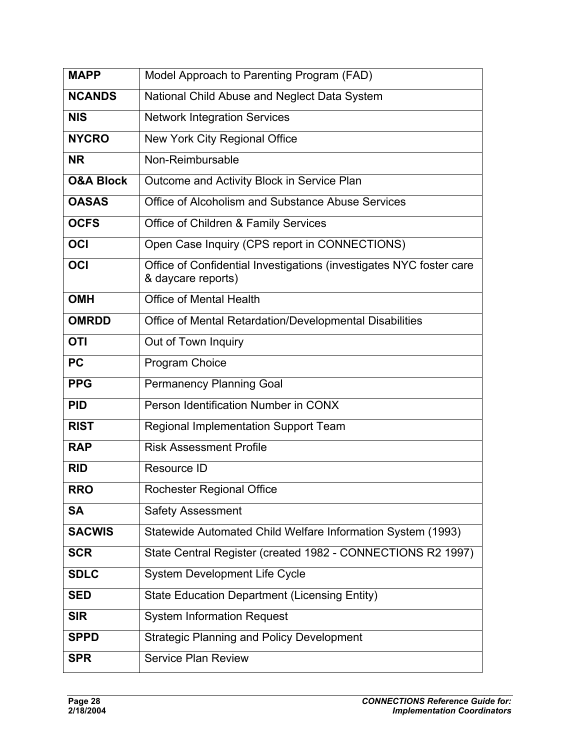| <b>MAPP</b>          | Model Approach to Parenting Program (FAD)                                                 |  |  |
|----------------------|-------------------------------------------------------------------------------------------|--|--|
| <b>NCANDS</b>        | National Child Abuse and Neglect Data System                                              |  |  |
| <b>NIS</b>           | <b>Network Integration Services</b>                                                       |  |  |
| <b>NYCRO</b>         | New York City Regional Office                                                             |  |  |
| <b>NR</b>            | Non-Reimbursable                                                                          |  |  |
| <b>O&amp;A Block</b> | Outcome and Activity Block in Service Plan                                                |  |  |
| <b>OASAS</b>         | Office of Alcoholism and Substance Abuse Services                                         |  |  |
| <b>OCFS</b>          | Office of Children & Family Services                                                      |  |  |
| OCI                  | Open Case Inquiry (CPS report in CONNECTIONS)                                             |  |  |
| OCI                  | Office of Confidential Investigations (investigates NYC foster care<br>& daycare reports) |  |  |
| <b>OMH</b>           | <b>Office of Mental Health</b>                                                            |  |  |
| <b>OMRDD</b>         | Office of Mental Retardation/Developmental Disabilities                                   |  |  |
| <b>OTI</b>           | Out of Town Inquiry                                                                       |  |  |
| <b>PC</b>            | Program Choice                                                                            |  |  |
| <b>PPG</b>           | <b>Permanency Planning Goal</b>                                                           |  |  |
| <b>PID</b>           | Person Identification Number in CONX                                                      |  |  |
| <b>RIST</b>          | <b>Regional Implementation Support Team</b>                                               |  |  |
| <b>RAP</b>           | <b>Risk Assessment Profile</b>                                                            |  |  |
| <b>RID</b>           | Resource ID                                                                               |  |  |
| <b>RRO</b>           | Rochester Regional Office                                                                 |  |  |
| <b>SA</b>            | <b>Safety Assessment</b>                                                                  |  |  |
| <b>SACWIS</b>        | Statewide Automated Child Welfare Information System (1993)                               |  |  |
| <b>SCR</b>           | State Central Register (created 1982 - CONNECTIONS R2 1997)                               |  |  |
| <b>SDLC</b>          | <b>System Development Life Cycle</b>                                                      |  |  |
| <b>SED</b>           | <b>State Education Department (Licensing Entity)</b>                                      |  |  |
| <b>SIR</b>           | <b>System Information Request</b>                                                         |  |  |
| <b>SPPD</b>          | <b>Strategic Planning and Policy Development</b>                                          |  |  |
| <b>SPR</b>           | <b>Service Plan Review</b>                                                                |  |  |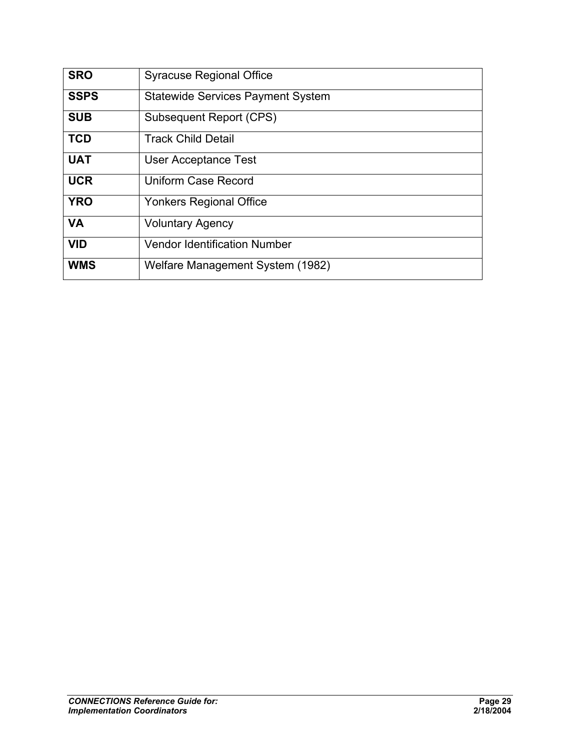| <b>SRO</b>  | <b>Syracuse Regional Office</b>          |
|-------------|------------------------------------------|
| <b>SSPS</b> | <b>Statewide Services Payment System</b> |
| <b>SUB</b>  | Subsequent Report (CPS)                  |
| <b>TCD</b>  | <b>Track Child Detail</b>                |
| <b>UAT</b>  | <b>User Acceptance Test</b>              |
| <b>UCR</b>  | <b>Uniform Case Record</b>               |
| <b>YRO</b>  | <b>Yonkers Regional Office</b>           |
| <b>VA</b>   | <b>Voluntary Agency</b>                  |
| <b>VID</b>  | <b>Vendor Identification Number</b>      |
| <b>WMS</b>  | Welfare Management System (1982)         |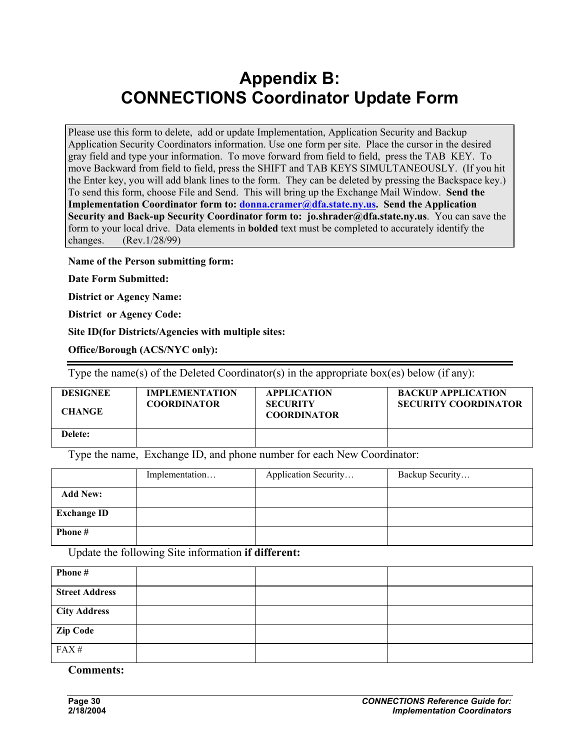# **Appendix B: CONNECTIONS Coordinator Update Form**

Please use this form to delete, add or update Implementation, Application Security and Backup Application Security Coordinators information. Use one form per site. Place the cursor in the desired gray field and type your information. To move forward from field to field, press the TAB KEY. To move Backward from field to field, press the SHIFT and TAB KEYS SIMULTANEOUSLY. (If you hit the Enter key, you will add blank lines to the form. They can be deleted by pressing the Backspace key.) To send this form, choose File and Send. This will bring up the Exchange Mail Window. **Send the Implementation Coordinator form to: donna.cramer@dfa.state.ny.us. Send the Application Security and Back-up Security Coordinator form to: jo.shrader@dfa.state.ny.us**. You can save the form to your local drive. Data elements in **bolded** text must be completed to accurately identify the changes. (Rev.1/28/99)

**Name of the Person submitting form:** 

**Date Form Submitted:** 

**District or Agency Name:** 

**District or Agency Code:** 

**Site ID(for Districts/Agencies with multiple sites:** 

**Office/Borough (ACS/NYC only):** 

Type the name(s) of the Deleted Coordinator(s) in the appropriate box(es) below (if any):

| <b>DESIGNEE</b><br><b>CHANGE</b> | <b>IMPLEMENTATION</b><br><b>COORDINATOR</b> | <b>APPLICATION</b><br><b>SECURITY</b><br><b>COORDINATOR</b> | <b>BACKUP APPLICATION</b><br><b>SECURITY COORDINATOR</b> |
|----------------------------------|---------------------------------------------|-------------------------------------------------------------|----------------------------------------------------------|
| Delete:                          |                                             |                                                             |                                                          |

Type the name, Exchange ID, and phone number for each New Coordinator:

|                    | Implementation | Application Security | Backup Security |
|--------------------|----------------|----------------------|-----------------|
| <b>Add New:</b>    |                |                      |                 |
| <b>Exchange ID</b> |                |                      |                 |
| Phone #            |                |                      |                 |

Update the following Site information **if different:** 

| Phone#                |  |  |
|-----------------------|--|--|
| <b>Street Address</b> |  |  |
| <b>City Address</b>   |  |  |
| <b>Zip Code</b>       |  |  |
| FAX#                  |  |  |

**Comments:**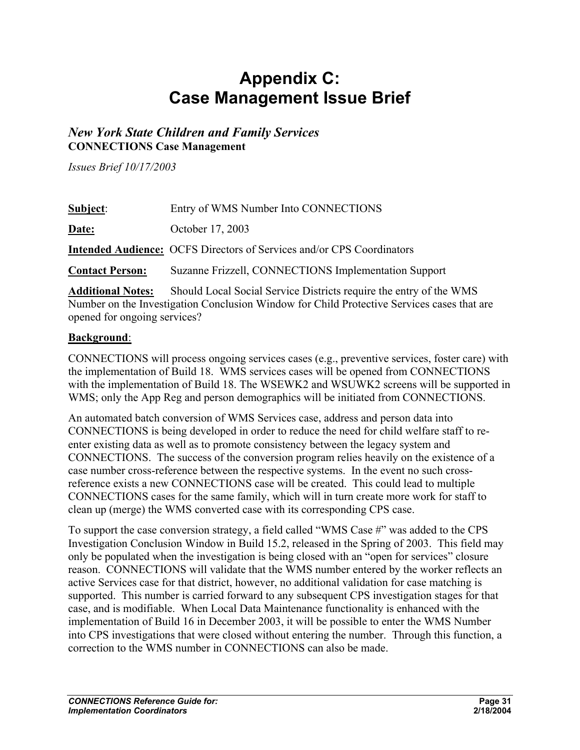# **Appendix C: Case Management Issue Brief**

#### *New York State Children and Family Services*  **CONNECTIONS Case Management**

*Issues Brief 10/17/2003* 

| <b>Subject:</b>        | Entry of WMS Number Into CONNECTIONS                                                  |
|------------------------|---------------------------------------------------------------------------------------|
| Date:                  | October 17, 2003                                                                      |
|                        | <b>Intended Audience:</b> OCFS Directors of Services and/or CPS Coordinators          |
| <b>Contact Person:</b> | Suzanne Frizzell, CONNECTIONS Implementation Support                                  |
|                        | Additional Nation Charld Local Coaigl Courses Districts require the outres of the WMC |

**Additional Notes:** Should Local Social Service Districts require the entry of the WMS Number on the Investigation Conclusion Window for Child Protective Services cases that are opened for ongoing services?

#### **Background**:

CONNECTIONS will process ongoing services cases (e.g., preventive services, foster care) with the implementation of Build 18. WMS services cases will be opened from CONNECTIONS with the implementation of Build 18. The WSEWK2 and WSUWK2 screens will be supported in WMS; only the App Reg and person demographics will be initiated from CONNECTIONS.

An automated batch conversion of WMS Services case, address and person data into CONNECTIONS is being developed in order to reduce the need for child welfare staff to reenter existing data as well as to promote consistency between the legacy system and CONNECTIONS. The success of the conversion program relies heavily on the existence of a case number cross-reference between the respective systems. In the event no such crossreference exists a new CONNECTIONS case will be created. This could lead to multiple CONNECTIONS cases for the same family, which will in turn create more work for staff to clean up (merge) the WMS converted case with its corresponding CPS case.

To support the case conversion strategy, a field called "WMS Case #" was added to the CPS Investigation Conclusion Window in Build 15.2, released in the Spring of 2003. This field may only be populated when the investigation is being closed with an "open for services" closure reason. CONNECTIONS will validate that the WMS number entered by the worker reflects an active Services case for that district, however, no additional validation for case matching is supported. This number is carried forward to any subsequent CPS investigation stages for that case, and is modifiable. When Local Data Maintenance functionality is enhanced with the implementation of Build 16 in December 2003, it will be possible to enter the WMS Number into CPS investigations that were closed without entering the number. Through this function, a correction to the WMS number in CONNECTIONS can also be made.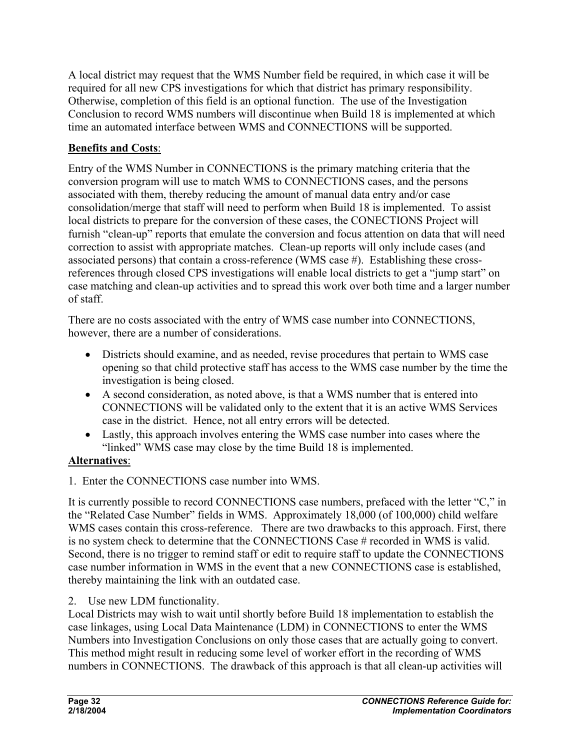A local district may request that the WMS Number field be required, in which case it will be required for all new CPS investigations for which that district has primary responsibility. Otherwise, completion of this field is an optional function. The use of the Investigation Conclusion to record WMS numbers will discontinue when Build 18 is implemented at which time an automated interface between WMS and CONNECTIONS will be supported.

#### **Benefits and Costs**:

Entry of the WMS Number in CONNECTIONS is the primary matching criteria that the conversion program will use to match WMS to CONNECTIONS cases, and the persons associated with them, thereby reducing the amount of manual data entry and/or case consolidation/merge that staff will need to perform when Build 18 is implemented. To assist local districts to prepare for the conversion of these cases, the CONECTIONS Project will furnish "clean-up" reports that emulate the conversion and focus attention on data that will need correction to assist with appropriate matches. Clean-up reports will only include cases (and associated persons) that contain a cross-reference (WMS case #). Establishing these crossreferences through closed CPS investigations will enable local districts to get a "jump start" on case matching and clean-up activities and to spread this work over both time and a larger number of staff.

There are no costs associated with the entry of WMS case number into CONNECTIONS, however, there are a number of considerations.

- Districts should examine, and as needed, revise procedures that pertain to WMS case opening so that child protective staff has access to the WMS case number by the time the investigation is being closed.
- A second consideration, as noted above, is that a WMS number that is entered into CONNECTIONS will be validated only to the extent that it is an active WMS Services case in the district. Hence, not all entry errors will be detected.
- Lastly, this approach involves entering the WMS case number into cases where the "linked" WMS case may close by the time Build 18 is implemented.

#### **Alternatives**:

1. Enter the CONNECTIONS case number into WMS.

It is currently possible to record CONNECTIONS case numbers, prefaced with the letter "C," in the "Related Case Number" fields in WMS. Approximately 18,000 (of 100,000) child welfare WMS cases contain this cross-reference. There are two drawbacks to this approach. First, there is no system check to determine that the CONNECTIONS Case # recorded in WMS is valid. Second, there is no trigger to remind staff or edit to require staff to update the CONNECTIONS case number information in WMS in the event that a new CONNECTIONS case is established, thereby maintaining the link with an outdated case.

2. Use new LDM functionality.

Local Districts may wish to wait until shortly before Build 18 implementation to establish the case linkages, using Local Data Maintenance (LDM) in CONNECTIONS to enter the WMS Numbers into Investigation Conclusions on only those cases that are actually going to convert. This method might result in reducing some level of worker effort in the recording of WMS numbers in CONNECTIONS. The drawback of this approach is that all clean-up activities will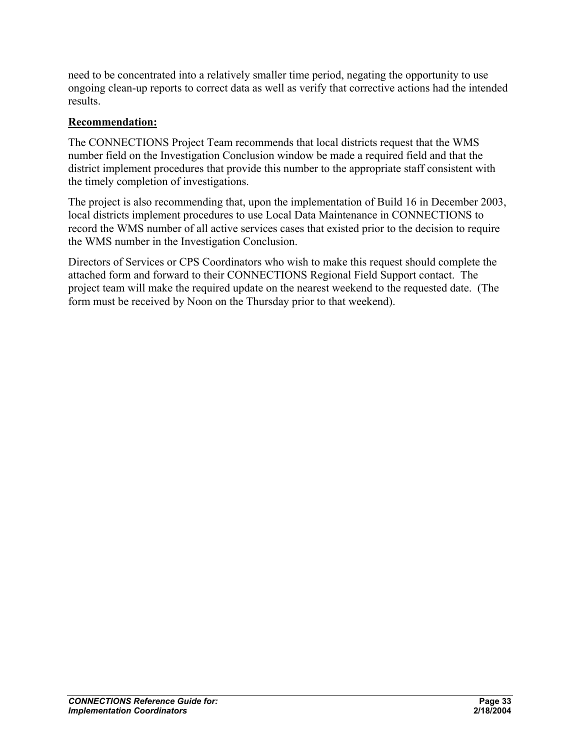need to be concentrated into a relatively smaller time period, negating the opportunity to use ongoing clean-up reports to correct data as well as verify that corrective actions had the intended results.

#### **Recommendation:**

The CONNECTIONS Project Team recommends that local districts request that the WMS number field on the Investigation Conclusion window be made a required field and that the district implement procedures that provide this number to the appropriate staff consistent with the timely completion of investigations.

The project is also recommending that, upon the implementation of Build 16 in December 2003, local districts implement procedures to use Local Data Maintenance in CONNECTIONS to record the WMS number of all active services cases that existed prior to the decision to require the WMS number in the Investigation Conclusion.

Directors of Services or CPS Coordinators who wish to make this request should complete the attached form and forward to their CONNECTIONS Regional Field Support contact. The project team will make the required update on the nearest weekend to the requested date. (The form must be received by Noon on the Thursday prior to that weekend).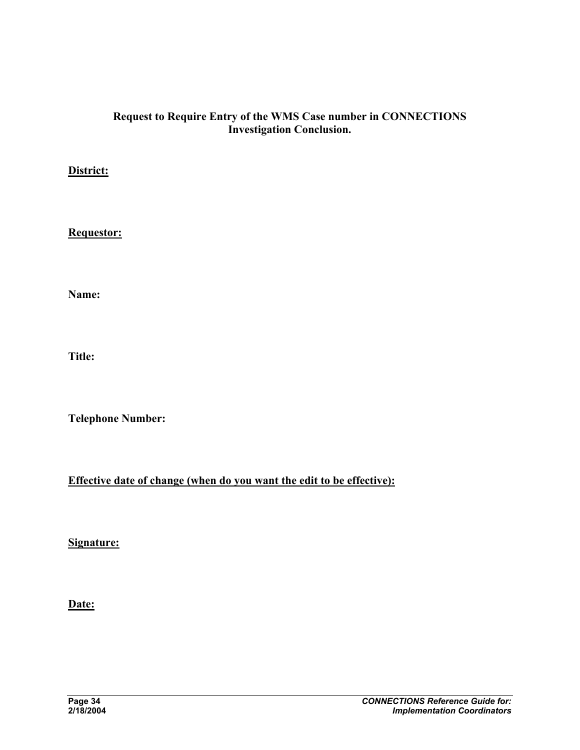#### **Request to Require Entry of the WMS Case number in CONNECTIONS Investigation Conclusion.**

#### **District:**

**Requestor:**

**Name:** 

**Title:** 

**Telephone Number:** 

**Effective date of change (when do you want the edit to be effective):**

**Signature:** 

**Date:**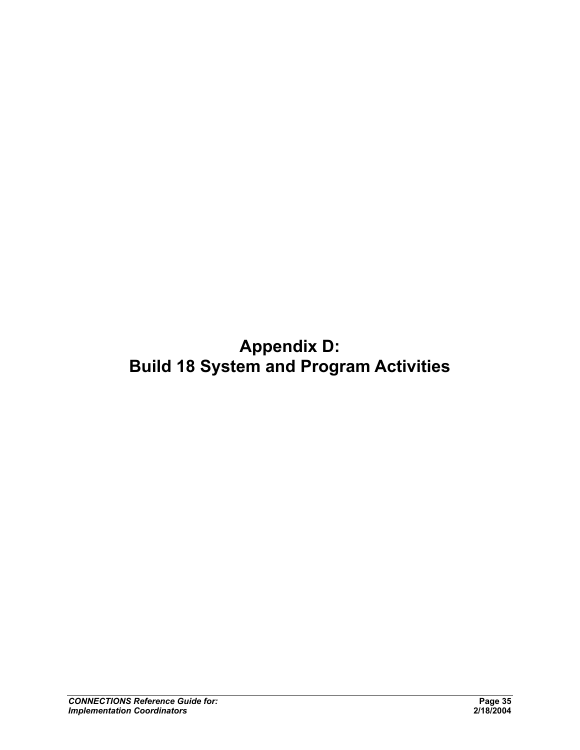# **Appendix D: Build 18 System and Program Activities**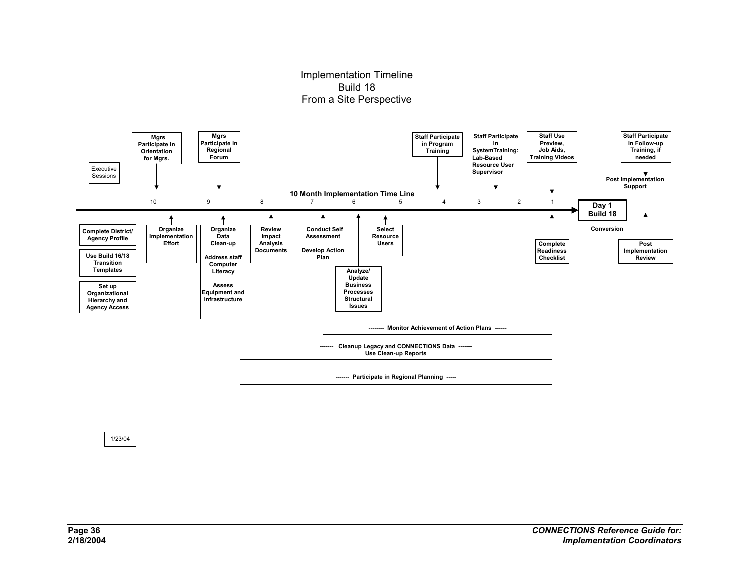#### Implementation Timeline Build 18From a Site Perspective



1/23/04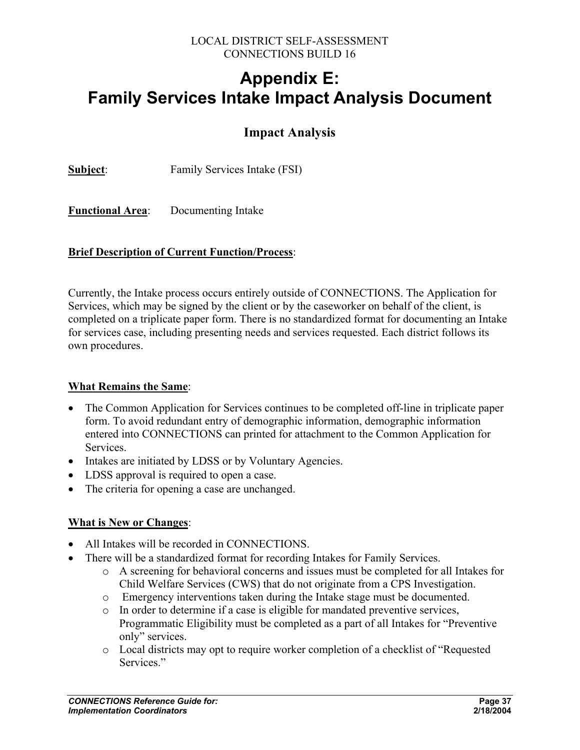#### LOCAL DISTRICT SELF-ASSESSMENT CONNECTIONS BUILD 16

# **Appendix E: Family Services Intake Impact Analysis Document**

## **Impact Analysis**

**Subject**: Family Services Intake (FSI)

**Functional Area**: Documenting Intake

#### **Brief Description of Current Function/Process**:

Currently, the Intake process occurs entirely outside of CONNECTIONS. The Application for Services, which may be signed by the client or by the caseworker on behalf of the client, is completed on a triplicate paper form. There is no standardized format for documenting an Intake for services case, including presenting needs and services requested. Each district follows its own procedures.

#### **What Remains the Same**:

- The Common Application for Services continues to be completed off-line in triplicate paper form. To avoid redundant entry of demographic information, demographic information entered into CONNECTIONS can printed for attachment to the Common Application for Services.
- Intakes are initiated by LDSS or by Voluntary Agencies.
- LDSS approval is required to open a case.
- The criteria for opening a case are unchanged.

#### **What is New or Changes**:

- All Intakes will be recorded in CONNECTIONS.
- There will be a standardized format for recording Intakes for Family Services.
	- o A screening for behavioral concerns and issues must be completed for all Intakes for Child Welfare Services (CWS) that do not originate from a CPS Investigation.
	- o Emergency interventions taken during the Intake stage must be documented.
	- o In order to determine if a case is eligible for mandated preventive services, Programmatic Eligibility must be completed as a part of all Intakes for "Preventive only" services.
	- o Local districts may opt to require worker completion of a checklist of "Requested Services<sup>"</sup>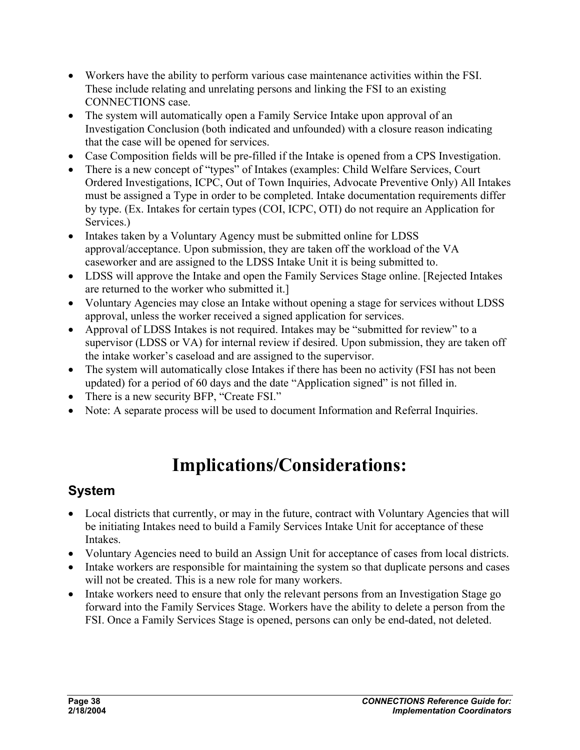- Workers have the ability to perform various case maintenance activities within the FSI. These include relating and unrelating persons and linking the FSI to an existing CONNECTIONS case.
- The system will automatically open a Family Service Intake upon approval of an Investigation Conclusion (both indicated and unfounded) with a closure reason indicating that the case will be opened for services.
- Case Composition fields will be pre-filled if the Intake is opened from a CPS Investigation.
- There is a new concept of "types" of Intakes (examples: Child Welfare Services, Court Ordered Investigations, ICPC, Out of Town Inquiries, Advocate Preventive Only) All Intakes must be assigned a Type in order to be completed. Intake documentation requirements differ by type. (Ex. Intakes for certain types (COI, ICPC, OTI) do not require an Application for Services.)
- Intakes taken by a Voluntary Agency must be submitted online for LDSS approval/acceptance. Upon submission, they are taken off the workload of the VA caseworker and are assigned to the LDSS Intake Unit it is being submitted to.
- LDSS will approve the Intake and open the Family Services Stage online. [Rejected Intakes are returned to the worker who submitted it.]
- Voluntary Agencies may close an Intake without opening a stage for services without LDSS approval, unless the worker received a signed application for services.
- Approval of LDSS Intakes is not required. Intakes may be "submitted for review" to a supervisor (LDSS or VA) for internal review if desired. Upon submission, they are taken off the intake worker's caseload and are assigned to the supervisor.
- The system will automatically close Intakes if there has been no activity (FSI has not been updated) for a period of 60 days and the date "Application signed" is not filled in.
- There is a new security BFP, "Create FSI."
- Note: A separate process will be used to document Information and Referral Inquiries.

# **Implications/Considerations:**

# **System**

- Local districts that currently, or may in the future, contract with Voluntary Agencies that will be initiating Intakes need to build a Family Services Intake Unit for acceptance of these Intakes.
- Voluntary Agencies need to build an Assign Unit for acceptance of cases from local districts.
- Intake workers are responsible for maintaining the system so that duplicate persons and cases will not be created. This is a new role for many workers.
- Intake workers need to ensure that only the relevant persons from an Investigation Stage go forward into the Family Services Stage. Workers have the ability to delete a person from the FSI. Once a Family Services Stage is opened, persons can only be end-dated, not deleted.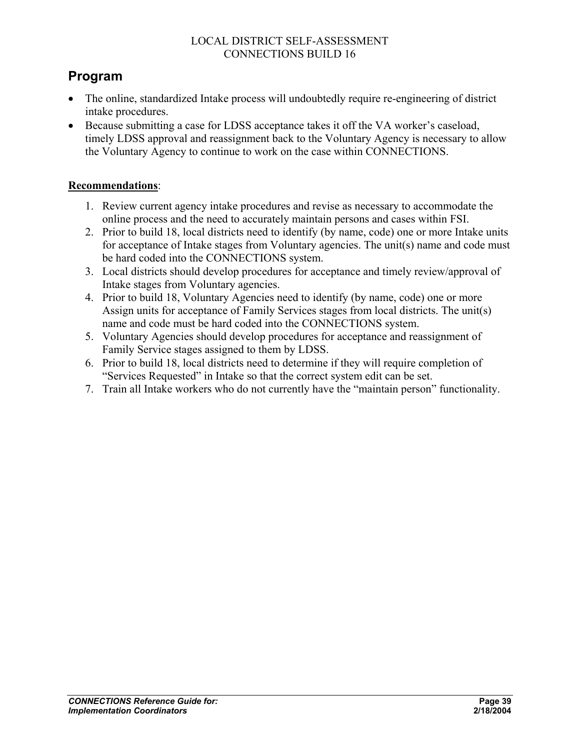#### LOCAL DISTRICT SELF-ASSESSMENT CONNECTIONS BUILD 16

## **Program**

- The online, standardized Intake process will undoubtedly require re-engineering of district intake procedures.
- Because submitting a case for LDSS acceptance takes it off the VA worker's caseload, timely LDSS approval and reassignment back to the Voluntary Agency is necessary to allow the Voluntary Agency to continue to work on the case within CONNECTIONS.

#### **Recommendations**:

- 1. Review current agency intake procedures and revise as necessary to accommodate the online process and the need to accurately maintain persons and cases within FSI.
- 2. Prior to build 18, local districts need to identify (by name, code) one or more Intake units for acceptance of Intake stages from Voluntary agencies. The unit(s) name and code must be hard coded into the CONNECTIONS system.
- 3. Local districts should develop procedures for acceptance and timely review/approval of Intake stages from Voluntary agencies.
- 4. Prior to build 18, Voluntary Agencies need to identify (by name, code) one or more Assign units for acceptance of Family Services stages from local districts. The unit(s) name and code must be hard coded into the CONNECTIONS system.
- 5. Voluntary Agencies should develop procedures for acceptance and reassignment of Family Service stages assigned to them by LDSS.
- 6. Prior to build 18, local districts need to determine if they will require completion of "Services Requested" in Intake so that the correct system edit can be set.
- 7. Train all Intake workers who do not currently have the "maintain person" functionality.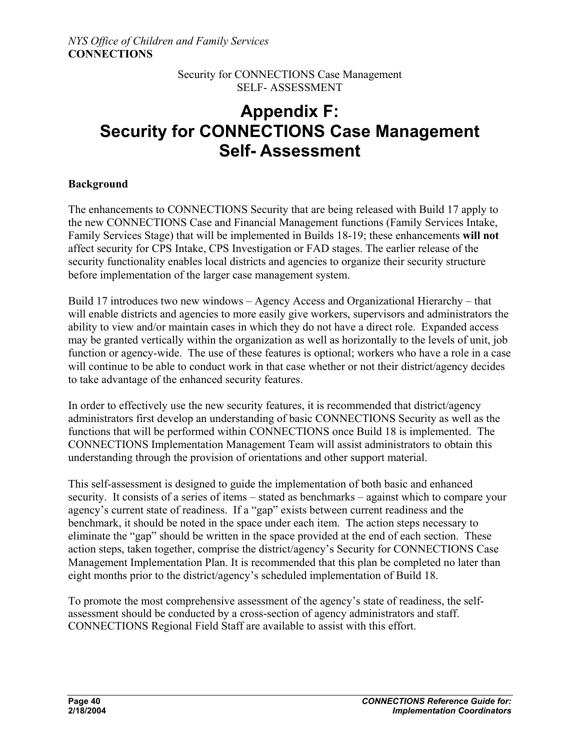# **Appendix F: Security for CONNECTIONS Case Management Self- Assessment**

#### **Background**

The enhancements to CONNECTIONS Security that are being released with Build 17 apply to the new CONNECTIONS Case and Financial Management functions (Family Services Intake, Family Services Stage) that will be implemented in Builds 18-19; these enhancements **will not** affect security for CPS Intake, CPS Investigation or FAD stages. The earlier release of the security functionality enables local districts and agencies to organize their security structure before implementation of the larger case management system.

Build 17 introduces two new windows – Agency Access and Organizational Hierarchy – that will enable districts and agencies to more easily give workers, supervisors and administrators the ability to view and/or maintain cases in which they do not have a direct role. Expanded access may be granted vertically within the organization as well as horizontally to the levels of unit, job function or agency-wide. The use of these features is optional; workers who have a role in a case will continue to be able to conduct work in that case whether or not their district/agency decides to take advantage of the enhanced security features.

In order to effectively use the new security features, it is recommended that district/agency administrators first develop an understanding of basic CONNECTIONS Security as well as the functions that will be performed within CONNECTIONS once Build 18 is implemented. The CONNECTIONS Implementation Management Team will assist administrators to obtain this understanding through the provision of orientations and other support material.

This self-assessment is designed to guide the implementation of both basic and enhanced security. It consists of a series of items – stated as benchmarks – against which to compare your agency's current state of readiness. If a "gap" exists between current readiness and the benchmark, it should be noted in the space under each item. The action steps necessary to eliminate the "gap" should be written in the space provided at the end of each section. These action steps, taken together, comprise the district/agency's Security for CONNECTIONS Case Management Implementation Plan. It is recommended that this plan be completed no later than eight months prior to the district/agency's scheduled implementation of Build 18.

To promote the most comprehensive assessment of the agency's state of readiness, the selfassessment should be conducted by a cross-section of agency administrators and staff. CONNECTIONS Regional Field Staff are available to assist with this effort.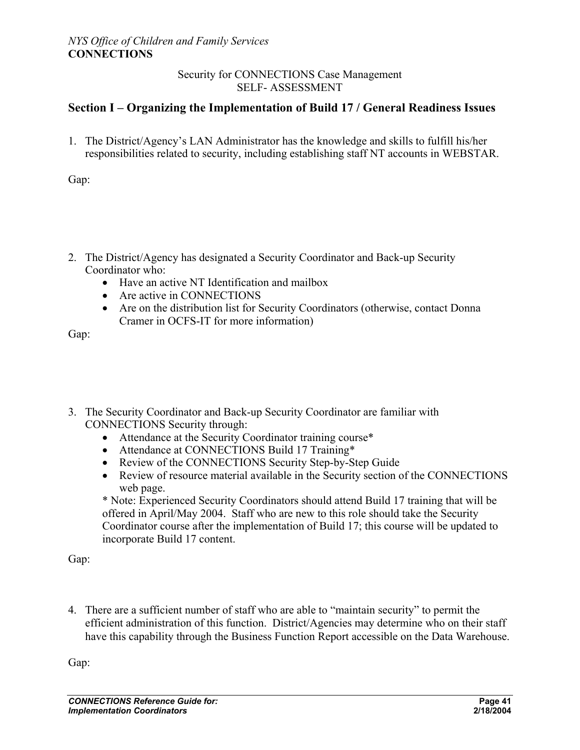#### **Section I – Organizing the Implementation of Build 17 / General Readiness Issues**

1. The District/Agency's LAN Administrator has the knowledge and skills to fulfill his/her responsibilities related to security, including establishing staff NT accounts in WEBSTAR.

Gap:

- 2. The District/Agency has designated a Security Coordinator and Back-up Security Coordinator who:
	- Have an active NT Identification and mailbox
	- Are active in CONNECTIONS
	- Are on the distribution list for Security Coordinators (otherwise, contact Donna Cramer in OCFS-IT for more information)

Gap:

- 3. The Security Coordinator and Back-up Security Coordinator are familiar with CONNECTIONS Security through:
	- Attendance at the Security Coordinator training course\*
	- Attendance at CONNECTIONS Build 17 Training\*
	- Review of the CONNECTIONS Security Step-by-Step Guide
	- Review of resource material available in the Security section of the CONNECTIONS web page.

\* Note: Experienced Security Coordinators should attend Build 17 training that will be offered in April/May 2004. Staff who are new to this role should take the Security Coordinator course after the implementation of Build 17; this course will be updated to incorporate Build 17 content.

Gap:

4. There are a sufficient number of staff who are able to "maintain security" to permit the efficient administration of this function. District/Agencies may determine who on their staff have this capability through the Business Function Report accessible on the Data Warehouse.

Gap: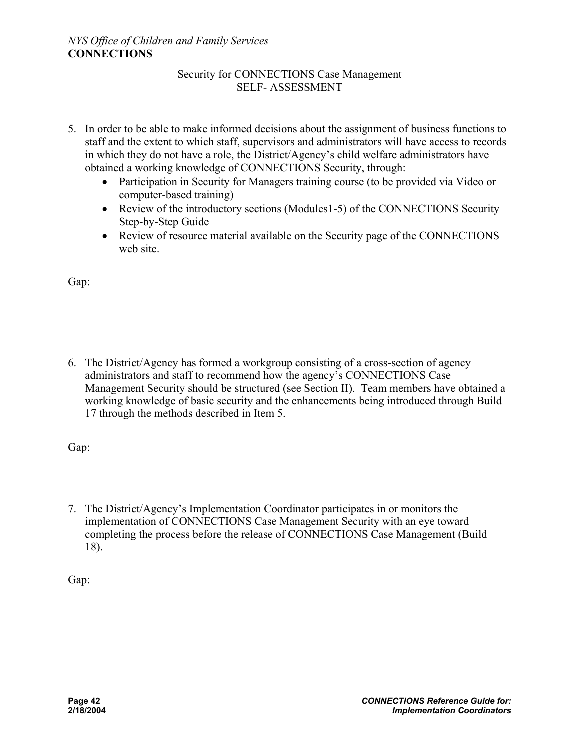- 5. In order to be able to make informed decisions about the assignment of business functions to staff and the extent to which staff, supervisors and administrators will have access to records in which they do not have a role, the District/Agency's child welfare administrators have obtained a working knowledge of CONNECTIONS Security, through:
	- Participation in Security for Managers training course (to be provided via Video or computer-based training)
	- Review of the introductory sections (Modules1-5) of the CONNECTIONS Security Step-by-Step Guide
	- Review of resource material available on the Security page of the CONNECTIONS web site.

Gap:

6. The District/Agency has formed a workgroup consisting of a cross-section of agency administrators and staff to recommend how the agency's CONNECTIONS Case Management Security should be structured (see Section II). Team members have obtained a working knowledge of basic security and the enhancements being introduced through Build 17 through the methods described in Item 5.

Gap:

7. The District/Agency's Implementation Coordinator participates in or monitors the implementation of CONNECTIONS Case Management Security with an eye toward completing the process before the release of CONNECTIONS Case Management (Build 18).

Gap: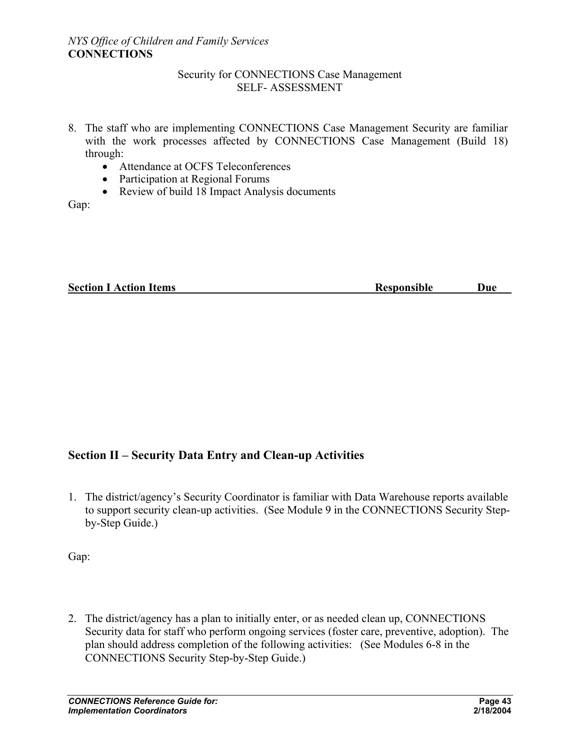- 8. The staff who are implementing CONNECTIONS Case Management Security are familiar with the work processes affected by CONNECTIONS Case Management (Build 18) through:
	- Attendance at OCFS Teleconferences
	- Participation at Regional Forums
	- Review of build 18 Impact Analysis documents

Gap:

| <b>Section I Action Items</b> | <b>Responsible</b> | Duc |
|-------------------------------|--------------------|-----|
|                               |                    |     |

#### **Section II – Security Data Entry and Clean-up Activities**

1. The district/agency's Security Coordinator is familiar with Data Warehouse reports available to support security clean-up activities. (See Module 9 in the CONNECTIONS Security Stepby-Step Guide.)

Gap:

2. The district/agency has a plan to initially enter, or as needed clean up, CONNECTIONS Security data for staff who perform ongoing services (foster care, preventive, adoption). The plan should address completion of the following activities: (See Modules 6-8 in the CONNECTIONS Security Step-by-Step Guide.)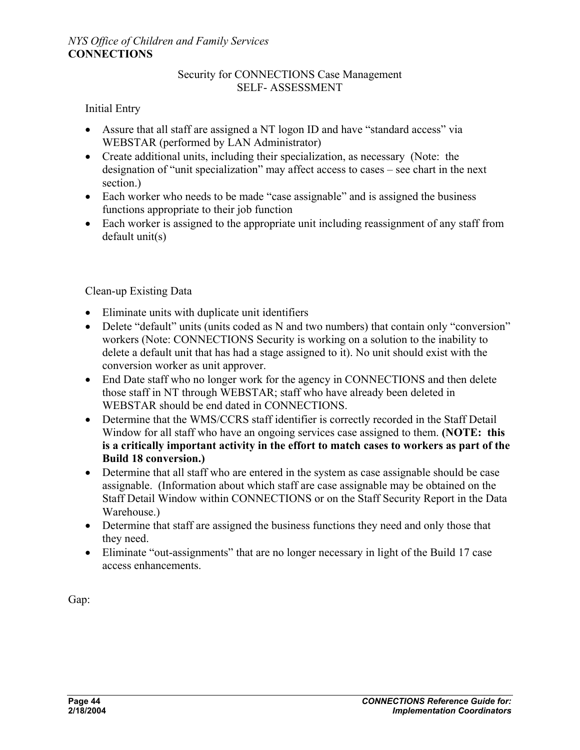#### Initial Entry

- Assure that all staff are assigned a NT logon ID and have "standard access" via WEBSTAR (performed by LAN Administrator)
- Create additional units, including their specialization, as necessary (Note: the designation of "unit specialization" may affect access to cases – see chart in the next section.)
- Each worker who needs to be made "case assignable" and is assigned the business functions appropriate to their job function
- Each worker is assigned to the appropriate unit including reassignment of any staff from default unit(s)

#### Clean-up Existing Data

- Eliminate units with duplicate unit identifiers
- Delete "default" units (units coded as N and two numbers) that contain only "conversion" workers (Note: CONNECTIONS Security is working on a solution to the inability to delete a default unit that has had a stage assigned to it). No unit should exist with the conversion worker as unit approver.
- End Date staff who no longer work for the agency in CONNECTIONS and then delete those staff in NT through WEBSTAR; staff who have already been deleted in WEBSTAR should be end dated in CONNECTIONS.
- Determine that the WMS/CCRS staff identifier is correctly recorded in the Staff Detail Window for all staff who have an ongoing services case assigned to them. **(NOTE: this is a critically important activity in the effort to match cases to workers as part of the Build 18 conversion.)**
- Determine that all staff who are entered in the system as case assignable should be case assignable. (Information about which staff are case assignable may be obtained on the Staff Detail Window within CONNECTIONS or on the Staff Security Report in the Data Warehouse.)
- Determine that staff are assigned the business functions they need and only those that they need.
- Eliminate "out-assignments" that are no longer necessary in light of the Build 17 case access enhancements.

Gap: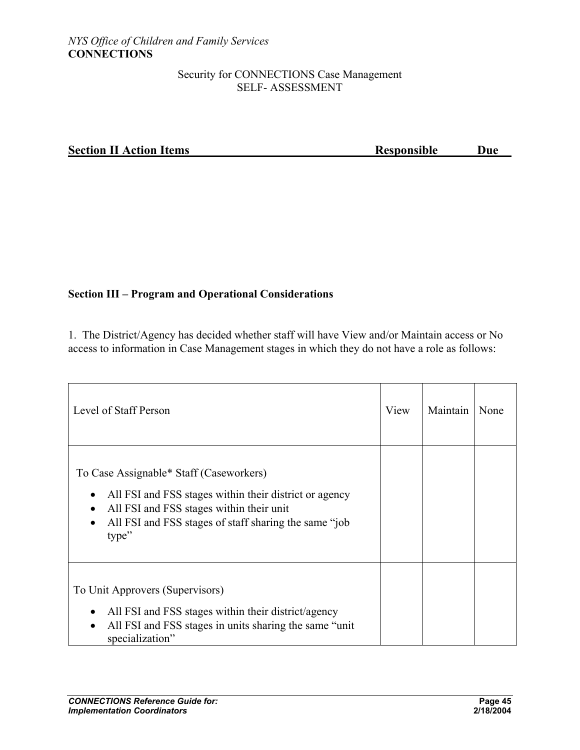#### **Section II Action Items Responsible Due**

#### **Section III – Program and Operational Considerations**

1. The District/Agency has decided whether staff will have View and/or Maintain access or No access to information in Case Management stages in which they do not have a role as follows:

| Level of Staff Person                                                                                                                                                                                                                                   | View | Maintain | None |
|---------------------------------------------------------------------------------------------------------------------------------------------------------------------------------------------------------------------------------------------------------|------|----------|------|
| To Case Assignable* Staff (Caseworkers)<br>All FSI and FSS stages within their district or agency<br>$\bullet$<br>All FSI and FSS stages within their unit<br>$\bullet$<br>All FSI and FSS stages of staff sharing the same "job"<br>$\bullet$<br>type" |      |          |      |
| To Unit Approvers (Supervisors)<br>All FSI and FSS stages within their district/agency<br>٠<br>All FSI and FSS stages in units sharing the same "unit"<br>$\bullet$<br>specialization"                                                                  |      |          |      |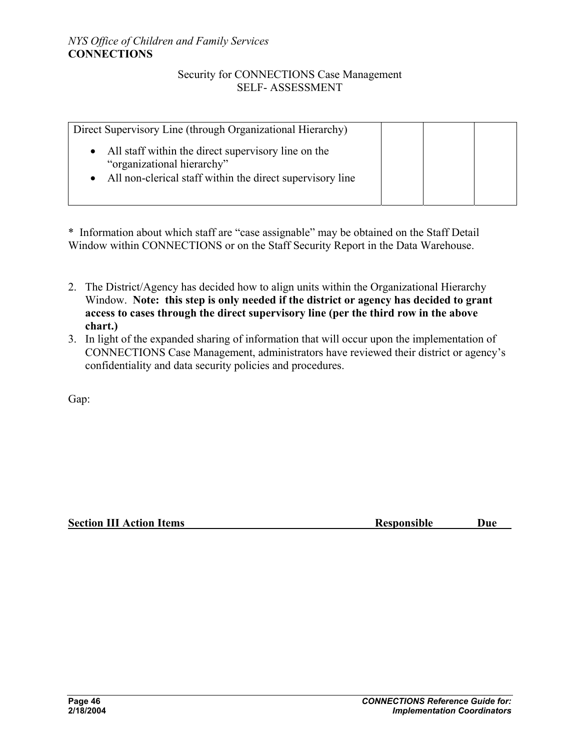| Direct Supervisory Line (through Organizational Hierarchy)                        |  |  |
|-----------------------------------------------------------------------------------|--|--|
| All staff within the direct supervisory line on the<br>"organizational hierarchy" |  |  |
| All non-clerical staff within the direct supervisory line                         |  |  |

\* Information about which staff are "case assignable" may be obtained on the Staff Detail Window within CONNECTIONS or on the Staff Security Report in the Data Warehouse.

- 2. The District/Agency has decided how to align units within the Organizational Hierarchy Window. **Note: this step is only needed if the district or agency has decided to grant access to cases through the direct supervisory line (per the third row in the above chart.)**
- 3. In light of the expanded sharing of information that will occur upon the implementation of CONNECTIONS Case Management, administrators have reviewed their district or agency's confidentiality and data security policies and procedures.

Gap:

**Section III Action Items Responsible Due**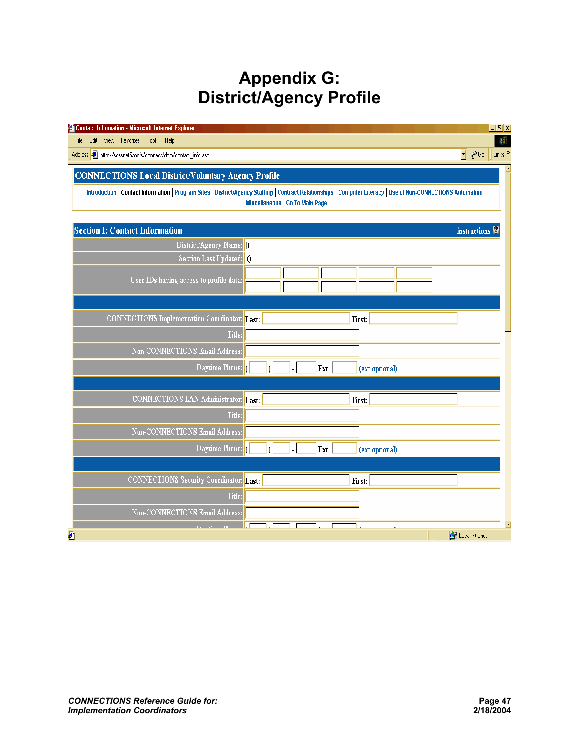# **Appendix G: District/Agency Profile**

| Contact Information - Microsoft Internet Explorer                                                                                                                                                                                                                                                                                                                           |  |  |  |                |                | Hx                                                             |
|-----------------------------------------------------------------------------------------------------------------------------------------------------------------------------------------------------------------------------------------------------------------------------------------------------------------------------------------------------------------------------|--|--|--|----------------|----------------|----------------------------------------------------------------|
| Edit View Favorites Tools Help<br>File                                                                                                                                                                                                                                                                                                                                      |  |  |  |                |                | ш.                                                             |
| Address 3 http://sdssnet5/ocfs/connect/dpm/contact_info.asp                                                                                                                                                                                                                                                                                                                 |  |  |  |                |                | $\phi$ Go<br>Links <sup>&gt;&gt;</sup><br>$\blacktriangledown$ |
| <b>CONNECTIONS Local District/Voluntary Agency Profile</b>                                                                                                                                                                                                                                                                                                                  |  |  |  |                |                |                                                                |
|                                                                                                                                                                                                                                                                                                                                                                             |  |  |  |                |                |                                                                |
| Introduction   Contact Information   Program Sites   District/Agency Staffing   Contract Relationships   Computer Literacy   Use of Non-CONNECTIONS Automation  <br>Miscellaneous   Go To Main Page                                                                                                                                                                         |  |  |  |                |                |                                                                |
|                                                                                                                                                                                                                                                                                                                                                                             |  |  |  |                |                |                                                                |
| <b>Section I: Contact Information</b>                                                                                                                                                                                                                                                                                                                                       |  |  |  |                |                | instructions <sup>2</sup>                                      |
| District/Agency Name: 0                                                                                                                                                                                                                                                                                                                                                     |  |  |  |                |                |                                                                |
| Section Last Updated: 0                                                                                                                                                                                                                                                                                                                                                     |  |  |  |                |                |                                                                |
| User IDs having access to profile data:                                                                                                                                                                                                                                                                                                                                     |  |  |  |                |                |                                                                |
|                                                                                                                                                                                                                                                                                                                                                                             |  |  |  |                |                |                                                                |
|                                                                                                                                                                                                                                                                                                                                                                             |  |  |  |                |                |                                                                |
| CONNECTIONS Implementation Coordinator: Last:                                                                                                                                                                                                                                                                                                                               |  |  |  |                | First:         |                                                                |
| Title:                                                                                                                                                                                                                                                                                                                                                                      |  |  |  |                |                |                                                                |
| Non-CONNECTIONS Email Address:                                                                                                                                                                                                                                                                                                                                              |  |  |  |                |                |                                                                |
| Daytime Phone:                                                                                                                                                                                                                                                                                                                                                              |  |  |  | Ext.           | (ext optional) |                                                                |
|                                                                                                                                                                                                                                                                                                                                                                             |  |  |  |                |                |                                                                |
| CONNECTIONS LAN Administrator: Last:                                                                                                                                                                                                                                                                                                                                        |  |  |  |                | First:         |                                                                |
| Title:                                                                                                                                                                                                                                                                                                                                                                      |  |  |  |                |                |                                                                |
|                                                                                                                                                                                                                                                                                                                                                                             |  |  |  |                |                |                                                                |
| Non-CONNECTIONS Email Address:                                                                                                                                                                                                                                                                                                                                              |  |  |  |                |                |                                                                |
| Daytime Phone:                                                                                                                                                                                                                                                                                                                                                              |  |  |  | Ext.           | (ext optional) |                                                                |
|                                                                                                                                                                                                                                                                                                                                                                             |  |  |  |                |                |                                                                |
| <b>CONNECTIONS Security Coordinator: Last:</b>                                                                                                                                                                                                                                                                                                                              |  |  |  |                | First:         |                                                                |
| Title:                                                                                                                                                                                                                                                                                                                                                                      |  |  |  |                |                |                                                                |
| Non-CONNECTIONS Email Address:                                                                                                                                                                                                                                                                                                                                              |  |  |  |                |                |                                                                |
| $T_{1}, T_{2}, T_{3}, T_{4}, T_{5}, T_{6}, T_{7}, T_{8}, T_{9}, T_{10}, T_{11}, T_{12}, T_{13}, T_{14}, T_{15}, T_{16}, T_{17}, T_{18}, T_{19}, T_{10}, T_{11}, T_{12}, T_{13}, T_{14}, T_{15}, T_{16}, T_{17}, T_{18}, T_{19}, T_{10}, T_{10}, T_{11}, T_{12}, T_{13}, T_{14}, T_{15}, T_{16}, T_{17}, T_{18}, T_{19}, T_{10}, T_{10}, T_{11}, T_{12}, T_{13}, T_{14$<br>€ |  |  |  | $\blacksquare$ | $\mathbf{n}$   | de Local intranet                                              |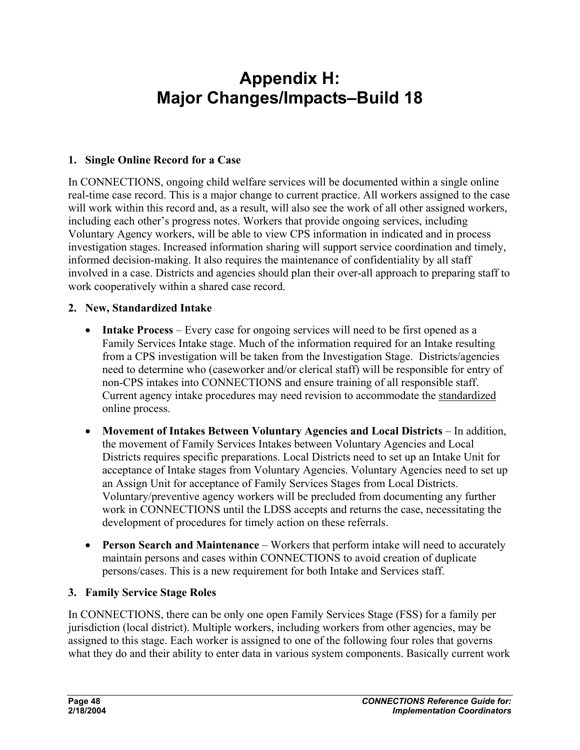# **Appendix H: Major Changes/Impacts–Build 18**

#### **1. Single Online Record for a Case**

In CONNECTIONS, ongoing child welfare services will be documented within a single online real-time case record. This is a major change to current practice. All workers assigned to the case will work within this record and, as a result, will also see the work of all other assigned workers, including each other's progress notes. Workers that provide ongoing services, including Voluntary Agency workers, will be able to view CPS information in indicated and in process investigation stages. Increased information sharing will support service coordination and timely, informed decision-making. It also requires the maintenance of confidentiality by all staff involved in a case. Districts and agencies should plan their over-all approach to preparing staff to work cooperatively within a shared case record.

#### **2. New, Standardized Intake**

- **Intake Process** Every case for ongoing services will need to be first opened as a Family Services Intake stage. Much of the information required for an Intake resulting from a CPS investigation will be taken from the Investigation Stage. Districts/agencies need to determine who (caseworker and/or clerical staff) will be responsible for entry of non-CPS intakes into CONNECTIONS and ensure training of all responsible staff. Current agency intake procedures may need revision to accommodate the standardized online process.
- **Movement of Intakes Between Voluntary Agencies and Local Districts** In addition, the movement of Family Services Intakes between Voluntary Agencies and Local Districts requires specific preparations. Local Districts need to set up an Intake Unit for acceptance of Intake stages from Voluntary Agencies. Voluntary Agencies need to set up an Assign Unit for acceptance of Family Services Stages from Local Districts. Voluntary/preventive agency workers will be precluded from documenting any further work in CONNECTIONS until the LDSS accepts and returns the case, necessitating the development of procedures for timely action on these referrals.
- **Person Search and Maintenance** Workers that perform intake will need to accurately maintain persons and cases within CONNECTIONS to avoid creation of duplicate persons/cases. This is a new requirement for both Intake and Services staff.

#### **3. Family Service Stage Roles**

In CONNECTIONS, there can be only one open Family Services Stage (FSS) for a family per jurisdiction (local district). Multiple workers, including workers from other agencies, may be assigned to this stage. Each worker is assigned to one of the following four roles that governs what they do and their ability to enter data in various system components. Basically current work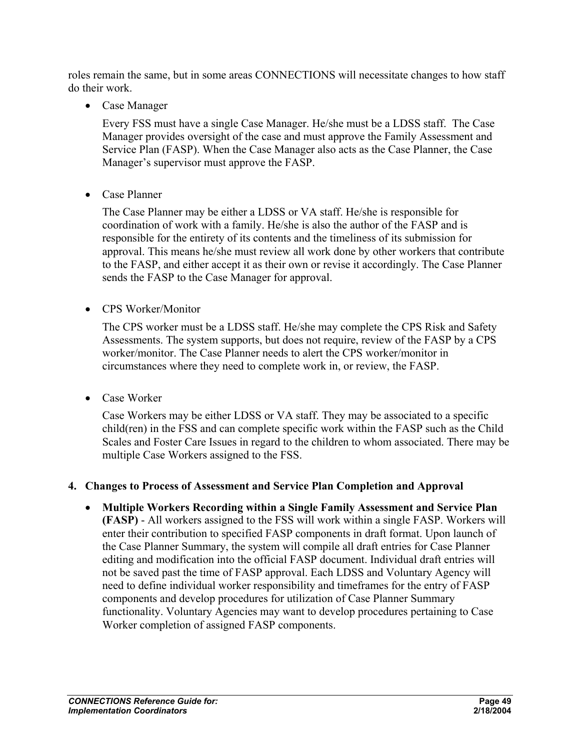roles remain the same, but in some areas CONNECTIONS will necessitate changes to how staff do their work.

• Case Manager

Every FSS must have a single Case Manager. He/she must be a LDSS staff. The Case Manager provides oversight of the case and must approve the Family Assessment and Service Plan (FASP). When the Case Manager also acts as the Case Planner, the Case Manager's supervisor must approve the FASP.

• Case Planner

The Case Planner may be either a LDSS or VA staff. He/she is responsible for coordination of work with a family. He/she is also the author of the FASP and is responsible for the entirety of its contents and the timeliness of its submission for approval. This means he/she must review all work done by other workers that contribute to the FASP, and either accept it as their own or revise it accordingly. The Case Planner sends the FASP to the Case Manager for approval.

• CPS Worker/Monitor

The CPS worker must be a LDSS staff. He/she may complete the CPS Risk and Safety Assessments. The system supports, but does not require, review of the FASP by a CPS worker/monitor. The Case Planner needs to alert the CPS worker/monitor in circumstances where they need to complete work in, or review, the FASP.

• Case Worker

Case Workers may be either LDSS or VA staff. They may be associated to a specific child(ren) in the FSS and can complete specific work within the FASP such as the Child Scales and Foster Care Issues in regard to the children to whom associated. There may be multiple Case Workers assigned to the FSS.

#### **4. Changes to Process of Assessment and Service Plan Completion and Approval**

• **Multiple Workers Recording within a Single Family Assessment and Service Plan (FASP)** - All workers assigned to the FSS will work within a single FASP. Workers will enter their contribution to specified FASP components in draft format. Upon launch of the Case Planner Summary, the system will compile all draft entries for Case Planner editing and modification into the official FASP document. Individual draft entries will not be saved past the time of FASP approval. Each LDSS and Voluntary Agency will need to define individual worker responsibility and timeframes for the entry of FASP components and develop procedures for utilization of Case Planner Summary functionality. Voluntary Agencies may want to develop procedures pertaining to Case Worker completion of assigned FASP components.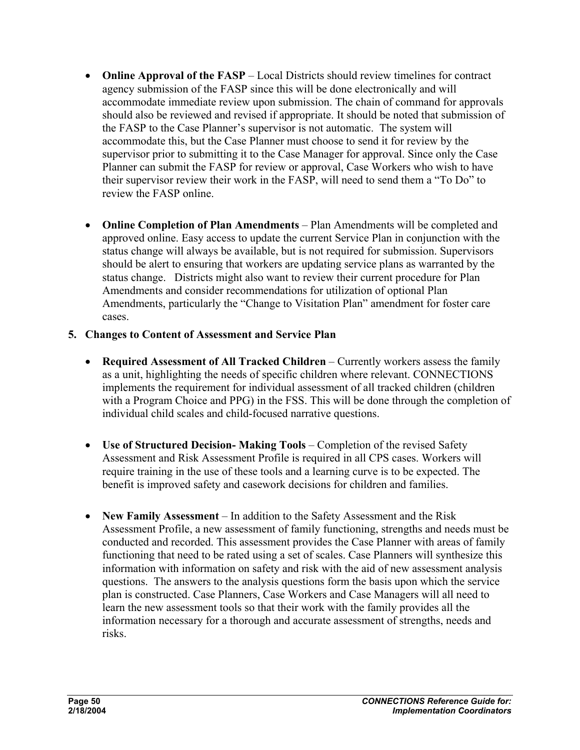- **Online Approval of the FASP** Local Districts should review timelines for contract agency submission of the FASP since this will be done electronically and will accommodate immediate review upon submission. The chain of command for approvals should also be reviewed and revised if appropriate. It should be noted that submission of the FASP to the Case Planner's supervisor is not automatic. The system will accommodate this, but the Case Planner must choose to send it for review by the supervisor prior to submitting it to the Case Manager for approval. Since only the Case Planner can submit the FASP for review or approval, Case Workers who wish to have their supervisor review their work in the FASP, will need to send them a "To Do" to review the FASP online.
- **Online Completion of Plan Amendments** Plan Amendments will be completed and approved online. Easy access to update the current Service Plan in conjunction with the status change will always be available, but is not required for submission. Supervisors should be alert to ensuring that workers are updating service plans as warranted by the status change. Districts might also want to review their current procedure for Plan Amendments and consider recommendations for utilization of optional Plan Amendments, particularly the "Change to Visitation Plan" amendment for foster care cases.

#### **5. Changes to Content of Assessment and Service Plan**

- **Required Assessment of All Tracked Children** Currently workers assess the family as a unit, highlighting the needs of specific children where relevant. CONNECTIONS implements the requirement for individual assessment of all tracked children (children with a Program Choice and PPG) in the FSS. This will be done through the completion of individual child scales and child-focused narrative questions.
- **Use of Structured Decision- Making Tools** Completion of the revised Safety Assessment and Risk Assessment Profile is required in all CPS cases. Workers will require training in the use of these tools and a learning curve is to be expected. The benefit is improved safety and casework decisions for children and families.
- **New Family Assessment** In addition to the Safety Assessment and the Risk Assessment Profile, a new assessment of family functioning, strengths and needs must be conducted and recorded. This assessment provides the Case Planner with areas of family functioning that need to be rated using a set of scales. Case Planners will synthesize this information with information on safety and risk with the aid of new assessment analysis questions. The answers to the analysis questions form the basis upon which the service plan is constructed. Case Planners, Case Workers and Case Managers will all need to learn the new assessment tools so that their work with the family provides all the information necessary for a thorough and accurate assessment of strengths, needs and risks.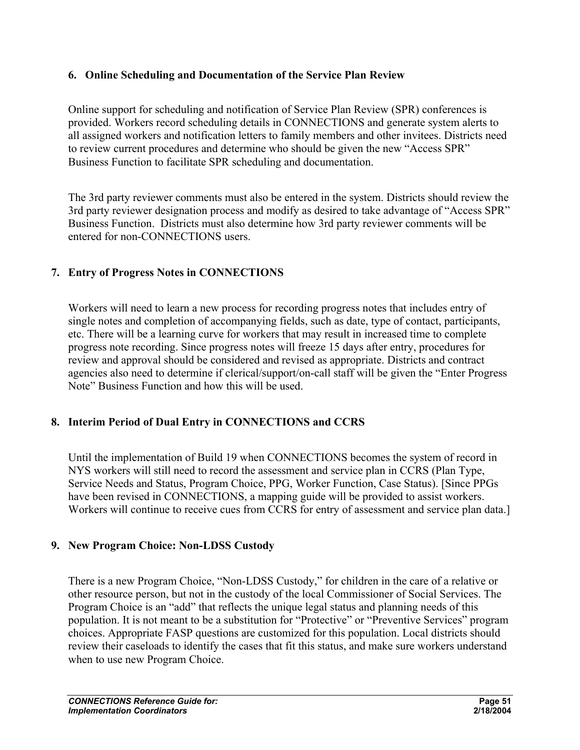#### **6. Online Scheduling and Documentation of the Service Plan Review**

Online support for scheduling and notification of Service Plan Review (SPR) conferences is provided. Workers record scheduling details in CONNECTIONS and generate system alerts to all assigned workers and notification letters to family members and other invitees. Districts need to review current procedures and determine who should be given the new "Access SPR" Business Function to facilitate SPR scheduling and documentation.

The 3rd party reviewer comments must also be entered in the system. Districts should review the 3rd party reviewer designation process and modify as desired to take advantage of "Access SPR" Business Function. Districts must also determine how 3rd party reviewer comments will be entered for non-CONNECTIONS users.

#### **7. Entry of Progress Notes in CONNECTIONS**

Workers will need to learn a new process for recording progress notes that includes entry of single notes and completion of accompanying fields, such as date, type of contact, participants, etc. There will be a learning curve for workers that may result in increased time to complete progress note recording. Since progress notes will freeze 15 days after entry, procedures for review and approval should be considered and revised as appropriate. Districts and contract agencies also need to determine if clerical/support/on-call staff will be given the "Enter Progress Note" Business Function and how this will be used.

#### **8. Interim Period of Dual Entry in CONNECTIONS and CCRS**

Until the implementation of Build 19 when CONNECTIONS becomes the system of record in NYS workers will still need to record the assessment and service plan in CCRS (Plan Type, Service Needs and Status, Program Choice, PPG, Worker Function, Case Status). [Since PPGs have been revised in CONNECTIONS, a mapping guide will be provided to assist workers. Workers will continue to receive cues from CCRS for entry of assessment and service plan data.]

#### **9. New Program Choice: Non-LDSS Custody**

There is a new Program Choice, "Non-LDSS Custody," for children in the care of a relative or other resource person, but not in the custody of the local Commissioner of Social Services. The Program Choice is an "add" that reflects the unique legal status and planning needs of this population. It is not meant to be a substitution for "Protective" or "Preventive Services" program choices. Appropriate FASP questions are customized for this population. Local districts should review their caseloads to identify the cases that fit this status, and make sure workers understand when to use new Program Choice.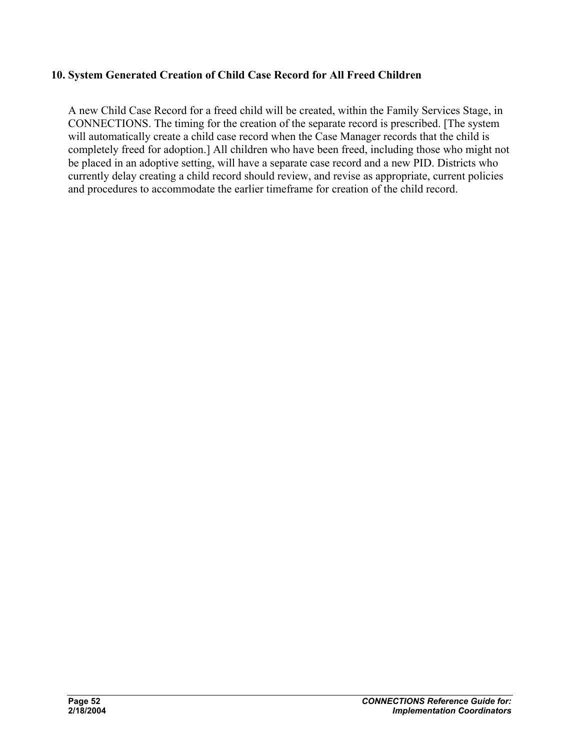#### **10. System Generated Creation of Child Case Record for All Freed Children**

A new Child Case Record for a freed child will be created, within the Family Services Stage, in CONNECTIONS. The timing for the creation of the separate record is prescribed. [The system will automatically create a child case record when the Case Manager records that the child is completely freed for adoption.] All children who have been freed, including those who might not be placed in an adoptive setting, will have a separate case record and a new PID. Districts who currently delay creating a child record should review, and revise as appropriate, current policies and procedures to accommodate the earlier timeframe for creation of the child record.